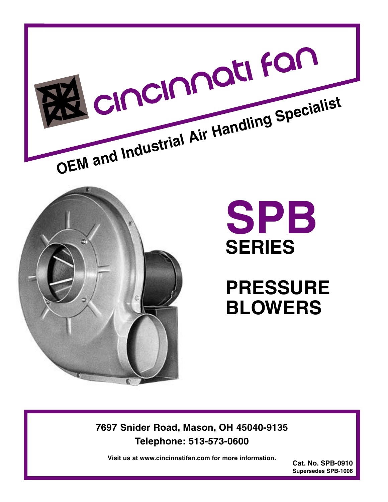



# **SPB SERIES**

**PRESSURE BLOWERS**

**7697 Snider Road, Mason, OH 45040-9135 Telephone: 513-573-0600**

**Visit us at www.cincinnatifan.com for more information.**

**Cat. No. SPB-0910 Supersedes SPB-1006**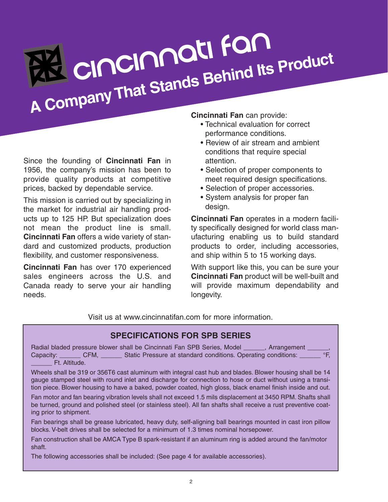# **<sup>A</sup> Company That Stands Behind Its Product**

Since the founding of **Cincinnati Fan** in 1956, the company's mission has been to provide quality products at competitive prices, backed by dependable service.

This mission is carried out by specializing in the market for industrial air handling products up to 125 HP. But specialization does not mean the product line is small. **Cincinnati Fan** offers a wide variety of standard and customized products, production flexibility, and customer responsiveness.

**Cincinnati Fan** has over 170 experienced sales engineers across the U.S. and Canada ready to serve your air handling needs.

# **Cincinnati Fan** can provide:

- Technical evaluation for correct performance conditions.
- Review of air stream and ambient conditions that require special attention.
- Selection of proper components to meet required design specifications.
- Selection of proper accessories.
- System analysis for proper fan design.

**Cincinnati Fan** operates in a modern facility specifically designed for world class manufacturing enabling us to build standard products to order, including accessories, and ship within 5 to 15 working days.

With support like this, you can be sure your **Cincinnati Fan** product will be well-built and will provide maximum dependability and longevity.

Visit us at www.cincinnatifan.com for more information.

# **SPECIFICATIONS FOR SPB SERIES**

Radial bladed pressure blower shall be Cincinnati Fan SPB Series, Model \_\_\_\_\_\_, Arrangement Capacity: \_\_\_\_\_\_ CFM, \_\_\_\_\_\_ Static Pressure at standard conditions. Operating conditions: \_\_\_\_\_ °F, Ft. Altitude.

Wheels shall be 319 or 356T6 cast aluminum with integral cast hub and blades. Blower housing shall be 14 gauge stamped steel with round inlet and discharge for connection to hose or duct without using a transition piece. Blower housing to have a baked, powder coated, high gloss, black enamel finish inside and out.

Fan motor and fan bearing vibration levels shall not exceed 1.5 mils displacement at 3450 RPM. Shafts shall be turned, ground and polished steel (or stainless steel). All fan shafts shall receive a rust preventive coating prior to shipment.

Fan bearings shall be grease lubricated, heavy duty, self-aligning ball bearings mounted in cast iron pillow blocks. V-belt drives shall be selected for a minimum of 1.3 times nominal horsepower.

Fan construction shall be AMCA Type B spark-resistant if an aluminum ring is added around the fan/motor shaft.

The following accessories shall be included: (See page 4 for available accessories).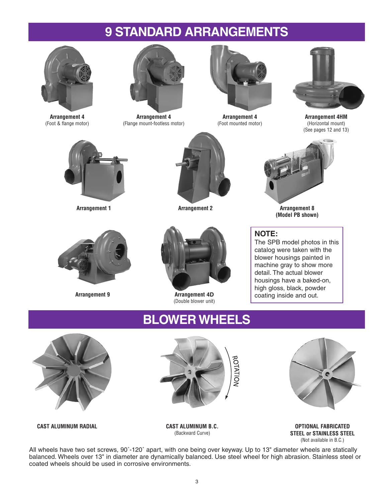# **9 STANDARD ARRANGEMENTS**



**Arrangement 4** (Foot & flange motor)



**Arrangement 4** (Flange mount-footless motor)



**Arrangement 4** (Foot mounted motor)



**Arrangement 4HM** (Horizontal mount) (See pages 12 and 13)





**Arrangement 1 Arrangement 2**



**Arrangement 8 (Model PB shown)**

# **NOTE:**

The SPB model photos in this catalog were taken with the blower housings painted in machine gray to show more detail. The actual blower housings have a baked-on, high gloss, black, powder coating inside and out.





**Arrangement 9 Arrangement 4D** (Double blower unit)

# **BLOWER WHEELS**







**OPTIONAL FABRICATED STEEL or STAINLESS STEEL** (Not available in B.C.)

**CAST ALUMINUM RADIAL CAST ALUMINUM B.C.**

(Backward Curve)

All wheels have two set screws, 90˚-120˚ apart, with one being over keyway. Up to 13" diameter wheels are statically balanced. Wheels over 13" in diameter are dynamically balanced. Use steel wheel for high abrasion. Stainless steel or coated wheels should be used in corrosive environments.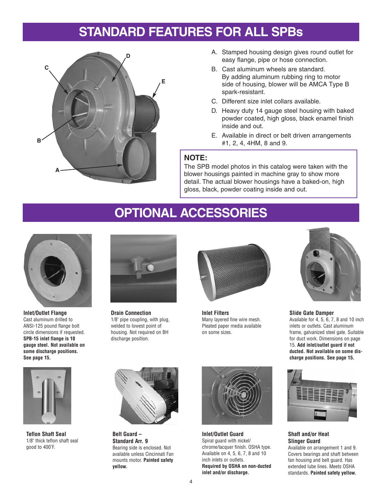# **STANDARD FEATURES FOR ALL SPBs**



- A. Stamped housing design gives round outlet for easy flange, pipe or hose connection.
- B. Cast aluminum wheels are standard. By adding aluminum rubbing ring to motor side of housing, blower will be AMCA Type B spark-resistant.
- C. Different size inlet collars available.
- D. Heavy duty 14 gauge steel housing with baked powder coated, high gloss, black enamel finish inside and out.
- E. Available in direct or belt driven arrangements #1, 2, 4, 4HM, 8 and 9.

### **NOTE:**

The SPB model photos in this catalog were taken with the blower housings painted in machine gray to show more detail. The actual blower housings have a baked-on, high gloss, black, powder coating inside and out.

# **OPTIONAL ACCESSORIES**



**Inlet/Outlet Flange** Cast aluminum drilled to ANSI-125 pound flange bolt circle dimensions if requested. **SPB-15 inlet flange is 10 gauge steel. Not available on some discharge positions. See page 15.**



**Teflon Shaft Seal** 1/8" thick teflon shaft seal good to 400˚F.



**Drain Connection** 1/8" pipe coupling, with plug, welded to lowest point of housing. Not required on BH discharge position.



**Inlet Filters** Many layered fine wire mesh. Pleated paper media available on some sizes.



**Slide Gate Damper** Available for 4, 5, 6, 7, 8 and 10 inch inlets or outlets. Cast aluminum frame, galvanized steel gate. Suitable for duct work. Dimensions on page 15. **Add inlet/outlet guard if not ducted. Not available on some discharge positions. See page 15.**



**Shaft and/or Heat Slinger Guard**

Available on arrangement 1 and 9. Covers bearings and shaft between fan housing and belt guard. Has extended lube lines. Meets OSHA standards. **Painted safety yellow.**



**Belt Guard – Standard Arr. 9** Bearing side is enclosed. Not available unless Cincinnati Fan mounts motor. **Painted safety yellow.**



**Inlet/Outlet Guard** Spiral guard with nickel/ chrome/lacquer finish. OSHA type. Available on 4, 5, 6, 7, 8 and 10 inch inlets or outlets. **Required by OSHA on non-ducted inlet and/or discharge.**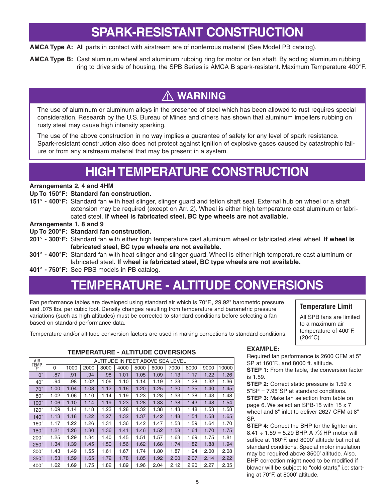# **SPARK-RESISTANT CONSTRUCTION**

**AMCA Type A:** All parts in contact with airstream are of nonferrous material (See Model PB catalog).

**AMCA Type B:** Cast aluminum wheel and aluminum rubbing ring for motor or fan shaft. By adding aluminum rubbing ring to drive side of housing, the SPB Series is AMCA B spark-resistant. Maximum Temperature 400°F.

# **WARNING**

The use of aluminum or aluminum alloys in the presence of steel which has been allowed to rust requires special consideration. Research by the U.S. Bureau of Mines and others has shown that aluminum impellers rubbing on rusty steel may cause high intensity sparking.

The use of the above construction in no way implies a guarantee of safety for any level of spark resistance. Spark-resistant construction also does not protect against ignition of explosive gases caused by catastrophic failure or from any airstream material that may be present in a system.

# **HIGH TEMPERATURE CONSTRUCTION**

### **Arrangements 2, 4 and 4HM**

### **Up To 150°F: Standard fan construction.**

**151° - 400°F:** Standard fan with heat slinger, slinger guard and teflon shaft seal. External hub on wheel or a shaft extension may be required (except on Arr. 2). Wheel is either high temperature cast aluminum or fabricated steel. **If wheel is fabricated steel, BC type wheels are not available.**

### **Arrangements 1, 8 and 9**

### **Up To 200°F: Standard fan construction.**

- **201° 300°F:** Standard fan with either high temperature cast aluminum wheel or fabricated steel wheel. **If wheel is fabricated steel, BC type wheels are not available.**
- **301° 400°F:** Standard fan with heat slinger and slinger guard. Wheel is either high temperature cast aluminum or fabricated steel. **If wheel is fabricated steel, BC type wheels are not available.**
- **401° 750°F:** See PBS models in PB catalog.

# **TEMPERATURE - ALTITUDE CONVERSIONS**

Fan performance tables are developed using standard air which is 70°F., 29.92" barometric pressure and .075 lbs. per cubic foot. Density changes resulting from temperature and barometric pressure variations (such as high altitudes) must be corrected to standard conditions before selecting a fan based on standard performance data.

### **Temperature Limit**

All SPB fans are limited to a maximum air temperature of 400°F. (204°C).

Temperature and/or altitude conversion factors are used in making corrections to standard conditions.

### **TEMPERATURE - ALTITUDE COVERSIONS**

| AIR         |      |      |      | ALTITUDE IN FEET ABOVE SEA LEVEL |      |      |      |      |      |      |       |
|-------------|------|------|------|----------------------------------|------|------|------|------|------|------|-------|
| TEMP.<br>F° | 0    | 1000 | 2000 | 3000                             | 4000 | 5000 | 6000 | 7000 | 8000 | 9000 | 10000 |
| $0^{\circ}$ | .87  | .91  | .94  | .98                              | 1.01 | 1.05 | 1.09 | 1.13 | 1.17 | 1.22 | 1.26  |
| $40^\circ$  | .94  | .98  | 1.02 | 1.06                             | 1.10 | 1.14 | 1.19 | 1 23 | 1.28 | 1.32 | 1.36  |
| $70^\circ$  | 1.00 | 1.04 | 1.08 | 1.12                             | 1.16 | 1.20 | 1.25 | 1.30 | 1.35 | 1.40 | 1.45  |
| $80^\circ$  | 1.02 | 1.06 | 1.10 | 1.14                             | 1.19 | 1.23 | 1.28 | 1.33 | 1.38 | 1.43 | 1.48  |
| $100^\circ$ | 1.06 | 1.10 | 1.14 | 1.19                             | 1.23 | 1.28 | 1.33 | 1.38 | 1.43 | 1.48 | 1.54  |
| $120^\circ$ | 1.09 | 1.14 | 1.18 | 1.23                             | 1.28 | 1.32 | 1.38 | 1.43 | 1.48 | 1.53 | 1.58  |
| $140^\circ$ | 1.13 | 1.18 | 1.22 | 1.27                             | 1.32 | 1.37 | 1.42 | 1.48 | 1.54 | 1.58 | 1.65  |
| $160^\circ$ | 1.17 | 1.22 | 1.26 | 1.31                             | 1.36 | 1.42 | 1.47 | 1.53 | 1.59 | 1.64 | 1.70  |
| $180^\circ$ | 1.21 | 1.26 | 1.30 | 1.36                             | 1.41 | 1.46 | 1.52 | 1.58 | 1.64 | 1.70 | 1.75  |
| $200^\circ$ | 1.25 | 1.29 | 1.34 | 1.40                             | 1.45 | 1.51 | 1.57 | 1.63 | 1.69 | 1.75 | 1.81  |
| $250^\circ$ | 1.34 | 1.39 | 1.45 | 1.50                             | 1.56 | 1.62 | 1.68 | 1.74 | 1.82 | 1.88 | 1.94  |
| $300^\circ$ | 1.43 | 1.49 | 1.55 | 1.61                             | 1.67 | 1.74 | 1.80 | 1.87 | 1.94 | 2.00 | 2.08  |
| $350^\circ$ | 1.53 | 1.59 | 1.65 | 1.72                             | 1.78 | 1.85 | 1.92 | 2.00 | 2.07 | 2.14 | 2.22  |
| $400^\circ$ | 1.62 | 1.69 | 1.75 | 1.82                             | 1.89 | 1.96 | 2.04 | 2.12 | 2.20 | 2.27 | 2.35  |

# **EXAMPLE:**

Required fan performance is 2600 CFM at 5" SP at 160˚F., and 8000 ft. altitude.

**STEP 1:** From the table, the conversion factor is 1.59.

**STEP 2:** Correct static pressure is 1.59 x 5"SP = 7.95"SP at standard conditions. **STEP 3:** Make fan selection from table on page 6. We select an SPB-15 with 15 x 7 wheel and 8" inlet to deliver 2627 CFM at 8" SP.

**STEP 4:** Correct the BHP for the lighter air:  $8.41 \div 1.59 = 5.29$  BHP. A 7<sup>1</sup>/<sub>2</sub> HP motor will suffice at 160°F. and 8000' altitude but not at standard conditions. Special motor insulation may be required above 3500' altitude. Also, BHP correction might need to be modified if blower will be subject to "cold starts," i.e: starting at 70°F. at 8000' altitude.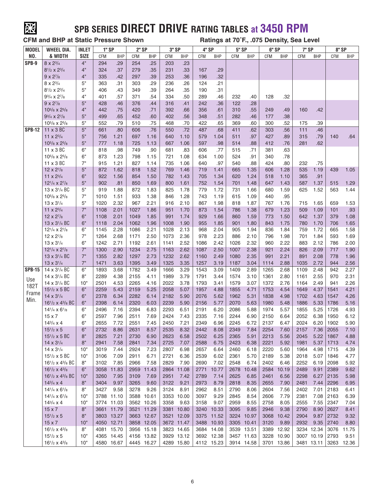

# **SPB SERIES DIRECT DRIVE RATING TABLES at 3450 RPM**

**CFM and BHP at Static Pressure Shown Ratings at 70˚F., .075 Density, Sea Level**

| <b>MODEL</b>  | <b>WHEEL DIA.</b>                                                 | INLET       |            | 1" SP      | 2" SP      |            | 3" SP      |            | 4" SP      |            | <b>5" SP</b> |            | 6" SP |            | 7" SP      |            |            | 8" SP                 |
|---------------|-------------------------------------------------------------------|-------------|------------|------------|------------|------------|------------|------------|------------|------------|--------------|------------|-------|------------|------------|------------|------------|-----------------------|
| NO.           | & WIDTH                                                           | <b>SIZE</b> | <b>CFM</b> | <b>BHP</b> | <b>CFM</b> | <b>BHP</b> | <b>CFM</b> | BHP        | <b>CFM</b> | <b>BHP</b> | <b>CFM</b>   | <b>BHP</b> | CFM   | <b>BHP</b> | <b>CFM</b> | <b>BHP</b> | <b>CFM</b> | <b>BHP</b>            |
| SPB-9         | $8 \times 2\frac{3}{4}$                                           | 4"          | 294        | .29        | 254        | .25        | 203        | .23        |            |            |              |            |       |            |            |            |            |                       |
|               | $8^{1/2} \times 2^{3/4}$                                          | 4"          | 324        | .37        | 279        | .35        | 231        | .33        | 167        | .29        |              |            |       |            |            |            |            |                       |
|               | $9 \times 2^{7/8}$                                                | 4"          | 335        | .42        | 297        | .39        | 253        | .36        | 196        | .32        |              |            |       |            |            |            |            |                       |
|               | $8 \times 2\frac{3}{4}$                                           | 5"          | 363        | .31        | 303        | .29        | 236        | .26        | 124        | .21        |              |            |       |            |            |            |            |                       |
|               | $8^{1/2} \times 2^{3/4}$                                          | 5"          | 406        | .43        | 349        | .39        | 264        | .35        | 190        | .31        |              |            |       |            |            |            |            |                       |
|               | $9^{3}/_4$ x $2^{7}/_8$                                           | 4"          | 401        | .57        | 371        | .54        | 334        | .50        | 289        | .46        | 232          | .40        | 128   | .32        |            |            |            |                       |
|               |                                                                   | 5"          |            |            |            |            |            |            | 242        | .36        |              |            |       |            |            |            |            |                       |
|               | $9 \times 2^{7}/8$                                                |             | 428        | .46        | 376        | .44        | 316        | .41        |            |            | 122          | .28        |       |            |            |            |            |                       |
|               | $10^{5}/_8$ x $2^{5}/_8$                                          | 4"          | 442        | .75        | 420        | .71        | 392        | .66        | 356        | .61        | 310          | .55        | 249   | .49        | 160        | .42        |            |                       |
|               | $9^{3}/_{4} \times 2^{7}/_{8}$                                    | 5"          | 499        | .65        | 452        | .60        | 402        | .56        | 348        | .51        | 282          | .46        | 177   | .38        |            |            |            |                       |
|               | $10^{5}/_8$ x $2^{5}/_8$                                          | 5"          | 552        | .79        | 510        | .75        | 468        | .70        | 422        | .65        | 369          | .60        | 300   | .52        | 175        | .39        |            |                       |
| <b>SPB-12</b> | 11 x 3 BC                                                         | 5"          | 661        | .80        | 606        | .76        | 550        | .72        | 487        | .68        | 411          | .62        | 303   | .56        | 111        | .46        |            |                       |
|               | 11 $\times 2^{3/4}$                                               | 5"          | 756        | 1.21       | 697        | 1.16       | 640        | 1.10       | 579        | 1.04       | 511          | .97        | 427   | .89        | 315        | .79        | 140        | .64                   |
|               | $10^{5}/_8$ x $2^{5}/_8$                                          | 5"          | 777        | 1.18       | 725        | 1.13       | 667        | 1.06       | 597        | .98        | 514          | .88        | 412   | .76        | 281        | .62        |            |                       |
|               | 11 x 3 BC                                                         | 6"          | 818        | .98        | 749        | .90        | 681        | .83        | 606        | .77        | 515          | .71        | 381   | .63        |            |            |            |                       |
|               | $10^{5}/8$ x $2^{5}/8$                                            | 6"          | 873        | 1.23       | 798        | 1.15       | 721        | 1.08       | 634        | 1.00       | 524          | .91        | 340   | .78        |            |            |            |                       |
|               | 11 x 3 BC                                                         | 7"          | 915        | 1.21       | 827        | 1.14       | 735        | 1.06       | 640        | .97        | 540          | .88        | 424   | .80        | 232        | .75        |            |                       |
|               | $12 \times 2^{7}/8$                                               | 5"          | 872        | 1.62       | 818        | 1.52       | 769        | 1.46       | 719        | 1.41       | 665          | 1.35       | 606   | 1.28       | 535        | 1.19       | 439        | 1.05                  |
|               | 11 $\times 2^{3/4}$                                               | 6"          | 922        | 1.56       | 854        | 1.50       | 782        | 1.43       | 705        | 1.34       | 620          | 1.24       | 518   | 1.10       | 365        | .91        |            |                       |
|               | $12^{1/4} \times 2^{7/8}$                                         | 5"          | 902        | .81        | 850        | 1.69       | 800        | 1.61       | 752        | 1.54       | 701          | 1.48       | 647   | 1.43       | 587        | 1.37       | 515        | 1.29                  |
|               | 13 x 3 <sup>1</sup> / <sub>4</sub> BC                             | 5"          | 919        | 1.88       | 872        | 1.83       | 825        | 1.78       | 779        | 1.72       | 731          | 1.66       | 680   | 1.59       | 625        | 1.52       | 563        | 1.44                  |
|               | $10^{5}/_8$ x $2^{5}/_8$                                          | 7"          | 1010       | 1.51       | 933        | 1.38       | 846        | 1.28       | 743        | 1.19       | 615          | 1.09       | 440   | .95        |            |            |            |                       |
|               | $13 \times 3^{1/4}$                                               | 5"          | 1020       | 2.32       | 967        | 2.21       | 916        | 2.10       | 867        | 1.98       | 818          | 1.87       | 767   | 1.76       | 715        | 1.65       | 659        | 1.53                  |
|               | 11 x 23/4                                                         | 7"          | 1108       | 2.01       | 1027       | 1.86       | 951        | 1.70       | 873        | 1.54       | 786          | 1.38       | 679   | 1.23       | 509        | 1.09       | 101        | .93                   |
|               | $12 \times 2^{7}/8$                                               | 6"          | 1108       | 2.01       | 1049       | 1.85       | 991        | 1.74       | 929        | 1.66       | 860          | 1.59       | 773   | 1.50       | 642        | 1.37       | 379        | 1.08                  |
|               | 13 x 3 <sup>1</sup> / <sub>4</sub> BC                             | 6"          | 1118       | 2.04       | 1062       | 1.96       | 1008       | 1.90       | 955        | 1.85       | 901          | 1.80       | 843   | 1.75       | 780        | 1.70       | 706        | 1.65                  |
|               | $12^{1/4} \times 2^{7/8}$                                         | 6"          | 1145       | 2.28       | 1086       | 2.21       | 1028       | 2.13       | 968        | 2.04       | 905          | 1.94       | 836   | 1.84       | 759        | 1.72       | 665        | 1.58                  |
|               | $12 \times 2^{7}/8$                                               | 7"          | 1264       | 2.68       | 1171       | 2.50       | 1073       | 2.36       | 978        | 2.23       | 886          | 2.10       | 796   | 1.98       | 701        | 1.84       | 593        | 1.69                  |
|               | $13 \times 3^{1/4}$                                               | 6"          | 1242       | 2.71       | 1192       | 2.61       | 1141       | 2.52       | 1086       | 2.42       | 1026         | 2.32       | 960   | 2.22       | 883        | 2.12       | 786        | 2.00                  |
|               | $12^{1/4} \times 2^{7/8}$                                         | 7"          | 1300       | 2.90       | 1234       | 2.75       | 1163       | 2.62       | 1087       | 2.50       | 1007         | 2.38       | 921   | 2.24       | 826        | 2.09       | 717        | 1.90                  |
|               | 13 x 3 <sup>1</sup> / <sub>4</sub> BC                             | 7"          | 1355       | 2.82       | 1297       | 2.73       | 1232       | 2.62       | 1160       | 2.49       | 1080         | 2.35       | 991   | 2.21       | 891        | 2.08       | 778        | 1.96                  |
|               |                                                                   | 7"          |            | 3.63       |            | 3.49       | 1325       |            | 1257       |            |              |            |       | 2.88       |            | 2.72       |            |                       |
|               | 13 x 3 <sup>1</sup> /4                                            | 6"          | 1471       |            | 1395       |            |            | 3.35       |            | 3.19       | 1187         | 3.04       | 1114  |            | 1035       |            | 944        | 2.56                  |
| <b>SPB-15</b> | 14 x 3 <sup>1</sup> / <sub>4</sub> BC                             |             | 1893       | 3.68       | 1782       | 3.49       | 1666       | 3.29       | 1543       | 3.09       | 1409         | 2.89       | 1265  | 2.68       | 1109       | 2.48       | 942        | 2.27                  |
| Use           | 14 x 3 <sup>1</sup> / <sub>4</sub> BC                             | 8"          | 2289       | 4.38       | 2155       | 4.11       | 1989       | 3.79       | 1791       | 3.44       | 1574         | 3.10       | 1361  | 2.80       | 1161       | 2.55       | 970        | 2.31                  |
| 182T          | 14 x 3 <sup>1</sup> / <sub>4</sub> BC                             | 10"         | 2501       | 4.53       | 2265       | 4.16       | 2022       | 3.78       | 1793       | 3.41       | 1579         | 3.07       | 1372  | 2.76       | 1164       | 2.49       | 941        | 2.26                  |
| Frame         | $15^{1/2}$ x 5 BC                                                 | 6"          | 2259       | 5.43       | 2159       | 5.25       | 2058       | 5.07       | 1957       | 4.88       | 1855         | 4.71       | 1753  | 4.54       | 1649       | 4.37       | 1541       | 4.21                  |
| Min.          | $14 \times 3^{1/4}$                                               | 6"          | 2378       | 6.34       | 2282       | 6.14       | 2182       | 5.90       | 2076       | 5.62       | 1962         | 5.31       | 1838  | 4.98       | 1702       | 4.63       | 1547       | 4.26                  |
|               | $16^{1/2}$ x 4 <sup>3</sup> / <sub>8</sub> BC                     | 6"          | 2398       | 6.14       | 2320       | 6.03       | 2239       | 5.90       | 2156       | 5.77       | 2070         | 5.63       | 1980  | 5.48       | 1886       | 5.33       | 1786       | 5.16                  |
|               | $14^{1/4} \times 6^{1/8}$                                         | 6"          | 2496       | 7.16       | 2394       | 6.83       | 2293       | 6.51       | 2191       | 6.20       | 2086         | 5.88       | 1974  | 5.57       | 1855       | 5.25       | 1726       | 4.93                  |
|               | $15 \times 7$                                                     | 6"          | 2597       | 7.96       | 2511       | 7.69       | 2424       | 7.43       | 2335       | 7.16       | 2244         | 6.90       | 2150  | 6.64       | 2052       | 6.38       | 1950       | 6.12                  |
|               | $14^{3}/_{4} \times 4$                                            | 6"          | 2655       | 7.72       | 2551       | 7.45       | 2450       | 7.21       | 2349       | 6.96       | 2245         | 6.72       | 2137  | 6.47       | 2024       | 6.20       | 1902       | 5.90                  |
|               | $15^{1/2} \times 5$                                               | $6"$        | 2732       | 8.86       | 2631       | 8.57       | 2535       | 8.32       | 2442       | 8.08       | 2349         | 7.84       | 2254  | 7.60       | 2157       | 7.36 2055  |            | 7.10                  |
|               | $15^{1/2}$ x 5 BC                                                 | 8"          | 2825       | 7.21       | 2730       | 6.90       | 2623       | 6.58       | 2502       | 6.25       | 2365         | 5.91       | 2213  | 5.56       | 2045       | 5.22       | 1867       | 4.88                  |
|               | $14 \times 3^{1/4}$                                               | 8"          | 2941       | 7.58       | 2841       | 7.34       | 2725       | 7.07       | 2588       | 6.75       | 2423         | 6.38       | 2221  | 5.92       | 1981       | 5.37       | 1713       | 4.74                  |
|               | $14 \times 3^{1/4}$                                               | 10"         | 3019       | 7.44       | 2924       | 7.23       | 2807       | 6.98       | 2657       | 6.64       | 2460         | 6.18       | 2220  | 5.60       | 1964       | 4.98       | 1715       | 4.39                  |
|               | $15^{1/2}$ x 5 BC                                                 | 10"         | 3106       | 7.09       | 2911       | 6.71       | 2721       | 6.36       | 2539       | 6.02       | 2361         | 5.70       | 2189  | 5.38       | 2018       | 5.07       | 1846       | 4.77                  |
|               | $16^{1/2}$ x 4 $^{3/8}$ BC                                        | 8"          | 3102       | 7.85       | 2966       | 7.58       | 2829       | 7.90       | 2690       | 7.02       | 2548         | 6.74       | 2402  | 6.46       | 2252       | 6.19       | 2098       | 5.92                  |
|               | $16^{1/2}$ x 4 $^{3/8}$                                           | 6"          | 3058       | 11.83      |            | 2959 11.43 |            | 2864 11.08 | 2771       | 10.77      |              | 2678 10.48 | 2584  | 10.19      | 2489       | 9.91       | 2389       | 9.62                  |
|               | 16 <sup>1</sup> / <sub>2</sub> x 4 <sup>3</sup> / <sub>8</sub> BC | 10"         | 3260       | 7.95       | 3109       | 7.69       | 2951       | 7.42       | 2789       | 7.14       | 2625         | 6.85       | 2461  | 6.56       | 2298       | 6.27       | 2135       | 5.98                  |
|               | $14^{3}/_{4} \times 4$                                            | 8"          | 3404       | 9.97       | 3265       | 9.60       | 3122       | 9.21       | 2973       | 8.79       | 2818         | 8.35       | 2655  | 7.90       | 2481       | 7.44       | 2296       | 6.95                  |
|               | $14^{1/4} \times 6^{1/8}$                                         | 8"          | 3427       | 9.58       | 3278       | 9.26       | 3124       | 8.91       | 2962       | 8.51       | 2790         | 8.06       | 2604  | 7.56       | 2402       | 7.01       | 2183       | 6.41                  |
|               | $14^{1/4} \times 6^{1/8}$                                         | 10"         |            | 3788 11.10 |            | 3588 10.61 |            | 3353 10.00 | 3097       | 9.29       | 2845         | 8.54       | 2606  | 7.79       | 2381       | 7.08       | 2163       | 6.39                  |
|               | $14^{3}/_{4} \times 4$                                            | 10"         |            | 3774 11.03 |            | 3562 10.26 | 3358       | 9.63       | 3158       | 9.07       | 2959         | 8.55       | 2758  | 8.05       | 2555       | 7.55       | 2347       | 7.04                  |
|               | 15 x 7                                                            | 8"          |            | 3661 11.79 |            | 3521 11.29 |            | 3381 10.80 |            | 3240 10.33 | 3095         | 9.85       | 2946  | 9.38       | 2790       | 8.90       | 2627       | 8.41                  |
|               | $15^{1/2} \times 5$                                               | 8"          |            | 3803 13.27 |            | 3663 12.67 |            | 3521 12.09 |            | 3375 11.52 |              | 3224 10.97 | 3068  | 10.42      | 2904       | 9.87       | 2732       | 9.32                  |
|               | $15 \times 7$                                                     | 10"         |            | 4050 12.71 |            | 3858 12.05 |            | 3672 11.47 |            | 3488 10.93 |              | 3305 10.41 | 3120  | 9.89       |            | 2932 9.35  | 2740       | 8.80                  |
|               | $16^{1/2}$ x $4^{3/8}$                                            | 8"          |            | 4081 15.70 |            | 3956 15.18 |            | 3823 14.65 |            | 3684 14.08 |              | 3539 13.51 |       | 3389 12.92 |            | 3234 12.34 |            | 3076 11.75            |
|               | $15^{1/2} \times 5$                                               | 10"         |            | 4365 14.45 |            |            |            |            |            | 3692 12.38 |              |            |       | 3228 10.90 |            |            |            | 9.51                  |
|               |                                                                   |             |            |            |            | 4156 13.82 |            | 3929 13.12 |            |            |              | 3457 11.63 |       |            |            | 3007 10.19 | 2793       |                       |
|               | $16^{1/2}$ x $4^{3/8}$                                            | 10"         |            | 4580 16.67 |            | 4445 16.27 |            | 4289 15.80 |            | 4112 15.23 |              | 3914 14.58 |       | 3701 13.86 |            |            |            | 3481 13.11 3263 12.36 |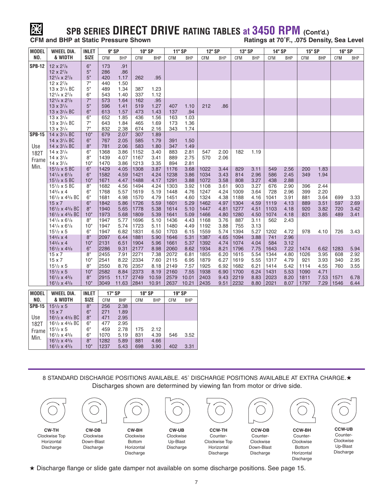# **SPB SERIES DIRECT DRIVE RATING TABLES at 3450 RPM** (Cont'd.)<br>CFM and BHP at Static Pressure Shown<br>Ratings at 70°F...075 Density

 $R$  **Ratings at 70°F., .075 Density, Sea Level** 

| <b>MODEL</b>  | <b>WHEEL DIA.</b>                             | <b>INLET</b> |              | 9" SP        |              | 10" SP       | 11" SP     |              | 12" SP     |            | 13" SP |            | 14" SP |            | 15" SP |            | 16" SP     |            |
|---------------|-----------------------------------------------|--------------|--------------|--------------|--------------|--------------|------------|--------------|------------|------------|--------|------------|--------|------------|--------|------------|------------|------------|
| NO.           | & WIDTH                                       | <b>SIZE</b>  | CFM          | <b>BHP</b>   | CFM          | <b>BHP</b>   | CFM        | <b>BHP</b>   | <b>CFM</b> | <b>BHP</b> | CFM    | <b>BHP</b> | CFM    | <b>BHP</b> | CFM    | <b>BHP</b> | <b>CFM</b> | <b>BHP</b> |
| <b>SPB-12</b> | $12 \times 2^{7}/8$                           | 6"           | 173          | .91          |              |              |            |              |            |            |        |            |        |            |        |            |            |            |
|               | $12 \times 2^{7}/8$                           | 5"           | 286          | .86          |              |              |            |              |            |            |        |            |        |            |        |            |            |            |
|               | $12^{1/4} \times 2^{7/8}$                     | 5"           | 420          | 1.17         | 262          | .95          |            |              |            |            |        |            |        |            |        |            |            |            |
|               | $12 \times 2^{7}/8$                           | 7"           | 440          | 1.50         |              |              |            |              |            |            |        |            |        |            |        |            |            |            |
|               | 13 x 3 <sup>1</sup> / <sub>4</sub> BC         | 5"           | 489          | 1.34         | 387          | 1.23         |            |              |            |            |        |            |        |            |        |            |            |            |
|               | $12^{1/4} \times 2^{7/8}$                     | 6"           | 543          | 1.40         | 337          | 1.12         |            |              |            |            |        |            |        |            |        |            |            |            |
|               | $12^{1/4} \times 2^{7/8}$                     | 7"           | 573          | 1.64         | 162          | .95          |            |              |            |            |        |            |        |            |        |            |            |            |
|               | $13 \times 3^{1/4}$                           | 5"           | 596          | 1.41         | 519          | 1.27         | 407        | 1.10         | 212        | .86        |        |            |        |            |        |            |            |            |
|               | 13 x 3 <sup>1</sup> / <sub>4</sub> BC         | 6"           | 613          | 1.57         | 473          | 1.43         | 137        | .94          |            |            |        |            |        |            |        |            |            |            |
|               | $13 \times 3^{1/4}$                           | 6"           | 652          | 1.85         | 436          | 1.56         | 163        | 1.03         |            |            |        |            |        |            |        |            |            |            |
|               | 13 x 3 <sup>1</sup> / <sub>4</sub> BC         | 7"           | 643          | 1.84         | 465          | 1.69         | 173        | 1.36         |            |            |        |            |        |            |        |            |            |            |
|               | $13 \times 3^{1/4}$                           | 7"           | 832          | 2.38         | 674          | 2.16         | 343        | 1.74         |            |            |        |            |        |            |        |            |            |            |
| <b>SPB-15</b> | 14 x 3 <sup>1</sup> / <sub>4</sub> BC         | 10"          | 679          | 2.07         | 307          | 1.89         |            |              |            |            |        |            |        |            |        |            |            |            |
|               | 14 x 3 <sup>1</sup> / <sub>4</sub> BC         | 6"           | 767          | 2.05         | 585          | 1.79         | 391        | 1.50         |            |            |        |            |        |            |        |            |            |            |
| Use           | 14 x 3 <sup>1</sup> / <sub>4</sub> BC         | 8"           | 781          | 2.06         | 583          | 1.80         | 347        | 1.49         |            |            |        |            |        |            |        |            |            |            |
| 182T          | $14 \times 3^{1/4}$                           | 6"<br>8"     | 1368<br>1439 | 3.86         | 1152<br>1167 | 3.40         | 883        | 2.81         | 547        | 2.00       | 182    | 1.19       |        |            |        |            |            |            |
| Frame         | $14 \times 3^{1/4}$<br>$14 \times 3^{1/4}$    | 10"          | 1470         | 4.07<br>3.86 | 1213         | 3.41<br>3.35 | 889<br>894 | 2.75<br>2.81 | 570        | 2.06       |        |            |        |            |        |            |            |            |
| Min.          | $15^{1/2}$ x 5 BC                             | 6"           | 1429         | 4.05         | 1308         | 3.87         | 1176       | 3.68         | 1022       | 3.44       | 829    | 3.11       | 549    | 2.56       | 200    | 1.83       |            |            |
|               | $14^{1/4} \times 6^{1/8}$                     | 6"           | 1582         | 4.59         | 1421         | 4.24         | 1238       | 3.86         | 1034       | 3.43       | 814    | 2.96       | 586    | 2.45       | 349    | 1.94       |            |            |
|               | $15^{1/2}$ x 5 BC                             | 10"          | 1671         | 4.47         | 1488         | 4.17         | 1291       | 3.88         | 1072       | 3.58       | 808    | 3.27       | 438    | 2.88       |        |            |            |            |
|               | $15^{1/2}$ x 5 BC                             | 8"           | 1682         | 4.56         | 1494         | 4.24         | 1303       | 3.92         | 1108       | 3.61       | 903    | 3.27       | 676    | 2.90       | 396    | 2.44       |            |            |
|               | $14^{3}/_{4} \times 4$                        | 6"           | 1768         | 5.57         | 1619         | 5.19         | 1448       | 4.76         | 1247       | 4.24       | 1009   | 3.64       | 728    | 2.96       | 399    | 2.20       |            |            |
|               | $16^{1/2} \times 4^{3/8}$ BC                  | 6"           | 1681         | 4.98         | 1570         | 4.79         | 1451       | 4.60         | 1324       | 4.38       | 1188   | 4.16       | 1041   | 3.91       | 881    | 3.64       | 699        | 3.33       |
|               | $15 \times 7$                                 | 6"           | 1842         | 5.86         | 1726         | 5.59         | 1601       | 5.29         | 1462       | 4.97       | 1304   | 4.59       | 1119   | 4.13       | 889    | 3.51       | 597        | 2.69       |
|               | $16^{1/2} \times 4^{3/8}$ BC                  | 8"           | 1940         | 5.65         | 1778         | 5.38         | 1614       | 5.10         | 1447       | 4.81       | 1277   | 4.51       | 1103   | 4.18       | 920    | 3.82       | 720        | 3.42       |
|               | $16^{1/2}$ x 4 <sup>3</sup> / <sub>8</sub> BC | 10"          | 1973         | 5.68         | 1809         | 5.39         | 1641       | 5.09         | 1466       | 4.80       | 1280   | 4.50       | 1074   | 4.18       | 831    | 3.85       | 489        | 3.41       |
|               | $14^{1/4} \times 6^{1/8}$                     | 8"           | 1947         | 5.77         | 1696         | 5.10         | 1436       | 4.43         | 1168       | 3.76       | 887    | 3.11       | 562    | 2.43       |        |            |            |            |
|               | $14^{1/4} \times 6^{1/8}$                     | 10"          | 1947         | 5.74         | 1723         | 5.11         | 1480       | 4.49         | 1192       | 3.88       | 755    | 3.13       |        |            |        |            |            |            |
|               | $15^{1/2} \times 5$                           | 6"           | 1947         | 6.82         | 1831         | 6.50         | 1703       | 6.15         | 1559       | 5.74       | 1394   | 5.27       | 1202   | 4.72       | 978    | 4.10       | 726        | 3.43       |
|               | $14^{3}/_{4} \times 4$                        | 8"           | 2097         | 6.44         | 1881         | 5.90         | 1646       | 5.31         | 1387       | 4.65       | 1094   | 3.88       | 741    | 2.96       |        |            |            |            |
|               | $14^{3}/_{4} \times 4$                        | 10"          | 2131         | 6.51         | 1904         | 5.96         | 1661       | 5.37         | 1392       | 4.74       | 1074   | 4.04       | 584    | 3.12       |        |            |            |            |
|               | $16^{1/2} \times 4^{3/8}$                     | 6"           | 2286         | 9.31         | 2177         | 8.98         | 2060       | 8.62         | 1934       | 8.21       | 1796   | 7.75       | 1643   | 7.22       | 1474   | 6.62       | 1283       | 5.94       |
|               | $15 \times 7$                                 | 8"           | 2455         | 7.91         | 2271         | 7.38         | 2072       | 6.81         | 1855       | 6.20       | 1615   | 5.54       | 1344   | 4.80       | 1026   | 3.95       | 608        | 2.92       |
|               | $15 \times 7$                                 | 10"          | 2541         | 8.22         | 2334         | 7.60         | 2115       | 6.95         | 1879       | 6.27       | 1619   | 5.55       | 1317   | 4.79       | 921    | 3.93       | 340        | 2.95       |
|               | $15^{1/2}$ x 5                                | 8"           | 2550         | 8.76         | 2357         | 8.18         | 2149       | 7.57         | 1925       | 6.92       | 1682   | 6.21       | 1414   | 5.42       | 1114   | 4.55       | 760        | 3.55       |
|               | $15^{1/2}$ x 5                                | 10"          | 2582         | 8.84         | 2373         | 8.19         | 2160       | 7.55         | 1938       | 6.90       | 1700   | 6.24       | 1431   | 5.53       | 1090   | 4.71       |            |            |
|               | $16^{1/2} \times 4^{3/8}$                     | 8"<br>10"    | 2915         | 11.17        | 2749         | 10.59        | 2579       | 10.01        | 2403       | 9.43       | 2219   | 8.83       | 2023   | 8.20       | 1811   | 7.53       | 1571       | 6.78       |
|               | $16^{1/2} \times 4^{3/8}$                     |              | 3049         | 11.63        | 2841         | 10.91        | 2637       | 10.21        | 2435       | 9.51       | 2232   | 8.80       | 2021   | 8.07       | 1797   | 7.29       | 1546       | 6.44       |

| <b>MODEL</b>  | <b>WHEEL DIA.</b>            | <b>INLET</b> | 17" SP |      | 18" SP |            | 19" SP     |            |
|---------------|------------------------------|--------------|--------|------|--------|------------|------------|------------|
| NO.           | & WIDTH                      | <b>SIZE</b>  | CFM    | BHP  | CFM    | <b>BHP</b> | <b>CFM</b> | <b>BHP</b> |
| <b>SPB-15</b> | $15^{1/2} \times 5$          | 8"           | 256    | 2.38 |        |            |            |            |
|               | $15 \times 7$                | 6"           | 271    | 1.89 |        |            |            |            |
| Use           | $16^{1/2} \times 4^{3/8}$ BC | 8"           | 471    | 2.95 |        |            |            |            |
| 182T          | $16^{1/2} \times 4^{3/8}$ BC | 6"           | 477    | 2.95 |        |            |            |            |
| Frame         | $15^{1}/2 \times 5$          | 6"           | 459    | 2.78 | 175    | 2.12       |            |            |
| Min.          | $16^{1/2} \times 4^{3/8}$    | 6"           | 1070   | 5.19 | 831    | 4.39       | 546        | 3.52       |
|               | $16^{1/2} \times 4^{3/8}$    | 8"           | 1282   | 5.89 | 881    | 4.66       |            |            |
|               | $16^{1/2} \times 4^{3/8}$    | 10"          | 1237   | 5.43 | 698    | 3.90       | 402        | 3.31       |

8 STANDARD DISCHARGE POSITIONS AVAILABLE. 45˚ DISCHARGE POSITIONS AVAILABLE AT EXTRA CHARGE.**★** Discharges shown are determined by viewing fan from motor or drive side.



**★** Discharge flange or slide gate damper not available on some discharge positions. See page 15.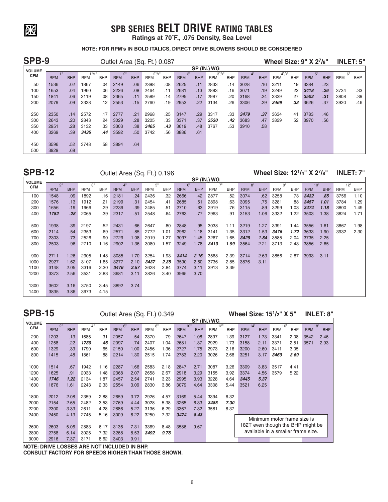# **SPB SERIES BELT DRIVE RATING TABLES**

**Ratings at 70˚F., .075 Density, Sea Level**

### **NOTE: FOR RPM's IN BOLD ITALICS, DIRECT DRIVE BLOWERS SHOULD BE CONSIDERED**

| SPB-9         |            |            |                           |            | Outlet Area (Sq. Ft.) 0.087 |            |                           |            |                  |            |                          |            |            |            |                           |            | Wheel Size: $9" X 27/8"$ |            |                  | <b>INLET: 5"</b> |
|---------------|------------|------------|---------------------------|------------|-----------------------------|------------|---------------------------|------------|------------------|------------|--------------------------|------------|------------|------------|---------------------------|------------|--------------------------|------------|------------------|------------------|
| <b>VOLUME</b> |            |            |                           |            |                             |            |                           |            |                  |            | SP (IN.) WG              |            |            |            |                           |            |                          |            |                  |                  |
| <b>CFM</b>    | <b>RPM</b> | <b>BHP</b> | $1^{1}/2$ "<br><b>RPM</b> | <b>BHP</b> | 2"<br><b>RPM</b>            | <b>BHP</b> | $2^{1}/2$ "<br><b>RPM</b> | <b>BHP</b> | 3"<br><b>RPM</b> | <b>BHP</b> | $3^{1}/2"$<br><b>RPM</b> | <b>BHP</b> | <b>RPM</b> | <b>BHP</b> | $4^{1}/2$ "<br><b>RPM</b> | <b>BHP</b> | 5"<br><b>RPM</b>         | <b>BHP</b> | 6"<br><b>RPM</b> | <b>BHP</b>       |
| 50            | 1536       | .02        | 1867                      | .04        | 2149                        | .06        | 2398                      | .08        | 2625             | .11        | 2833                     | .14        | 3028       | .16        | 3211                      | .19        | 3384                     | .23        |                  |                  |
| 100           | 1653       | .04        | 1960                      | .06        | 2226                        | .08        | 2464                      | .11        | 2681             | .13        | 2883                     | .16        | 3071       | .19        | 3249                      | .22        | 3418                     | .26        | 3734             | .33              |
| 150           | 1841       | .06        | 2119                      | .08        | 2365                        | .11        | 2589                      | .14        | 2795             | .17        | 2987                     | .20        | 3168       | .24        | 3339                      | .27        | 3502                     | .31        | 3808             | .39              |
| 200           | 2079       | .09        | 2328                      | .12        | 2553                        | .15        | 2760                      | .19        | 2953             | .22        | 3134                     | .26        | 3306       | .29        | 3469                      | .33        | 3626                     | .37        | 3920             | .46              |
|               |            |            |                           |            |                             |            |                           |            |                  |            |                          |            |            |            |                           |            |                          |            |                  |                  |
| 250           | 2350       | .14        | 2572                      | .17        | 2777                        | .21        | 2968                      | .25        | 3147             | .29        | 3317                     | .33        | 3479       | .37        | 3634                      | .41        | 3783                     | .46        |                  |                  |
| 300           | 2643       | .20        | 2843                      | .24        | 3029                        | .28        | 3205                      | .33        | 3371             | .37        | 3530                     | .42        | 3683       | .47        | 3829                      | .52        | 3970                     | .56        |                  |                  |
| 350           | 2951       | .28        | 3132                      | .33        | 3303                        | .38        | 3465                      | .43        | 3619             | .48        | 3767                     | .53        | 3910       | .58        |                           |            |                          |            |                  |                  |
| 400           | 3269       | .39        | 3435                      | .44        | 3592                        | .50        | 3742                      | .56        | 3886             | .61        |                          |            |            |            |                           |            |                          |            |                  |                  |
|               |            |            |                           |            |                             |            |                           |            |                  |            |                          |            |            |            |                           |            |                          |            |                  |                  |
| 450           | 3596       | .52        | 3748                      | .58        | 3894                        | .64        |                           |            |                  |            |                          |            |            |            |                           |            |                          |            |                  |                  |
| 500           | 3929       | .68        |                           |            |                             |            |                           |            |                  |            |                          |            |            |            |                           |            |                          |            |                  |                  |

贸

**SPB-15**

**SPB-12** Outlet Area (Sq. Ft.) 0.196

**Wheel Size: 121/4" X 27/8" INLET: 7"**

|                             |            |            |            |            |            |            | <u>- 900 - 900 - 900 - 900 - 900 - 910 - 920 - 930 - 931 - 932 - 933 - 934 - 935 - 936 - 937 - 938 - 938 - 938 - </u> |            |            |            | SP (IN.) WG |            |            |            |            |            |            |            |            |      |
|-----------------------------|------------|------------|------------|------------|------------|------------|-----------------------------------------------------------------------------------------------------------------------|------------|------------|------------|-------------|------------|------------|------------|------------|------------|------------|------------|------------|------|
| <b>VOLUME</b><br><b>CFM</b> | 2"         |            | 3"         |            | 4"         |            | 5"                                                                                                                    |            | 6"         |            | 7"          |            | 8"         |            | 9"         |            | 10"        |            | 12"        |      |
|                             | <b>RPM</b> | <b>BHP</b> | <b>RPM</b> | <b>BHP</b> | <b>RPM</b> | <b>BHP</b> | <b>RPM</b>                                                                                                            | <b>BHP</b> | <b>RPM</b> | <b>BHP</b> | <b>RPM</b>  | <b>BHP</b> | <b>RPM</b> | <b>BHP</b> | <b>RPM</b> | <b>BHP</b> | <b>RPM</b> | <b>BHP</b> | <b>RPM</b> | BHP  |
| 100                         | 1548       | .09        | 1892       | .16        | 2181       | .24        | 2436                                                                                                                  | .32        | 2666       | .42        | 2877        | .52        | 3074       | .62        | 3258       | .73        | 3432       | .85        | 3756       | 1.10 |
| 200                         | 1576       | .13        | 1912       | .21        | 2199       | .31        | 2454                                                                                                                  | .41        | 2685       | .51        | 2898        | .63        | 3095       | .75        | 3281       | .88        | 3457       | 1.01       | 3784       | 1.29 |
| 300                         | 1656       | .19        | 1966       | .29        | 2239       | .39        | 2485                                                                                                                  | .51        | 2710       | .63        | 2919        | .76        | 3115       | .89        | 3299       | 1.03       | 3474       | 1.18       | 3800       | 1.49 |
| 400                         | 1782       | .28        | 2065       | .39        | 2317       | .51        | 2548                                                                                                                  | .64        | 2763       | .77        | 2963        | .91        | 3153       | 1.06       | 3332       | 1.22       | 3503       | 1.38       | 3824       | 1.71 |
|                             |            |            |            |            |            |            |                                                                                                                       |            |            |            |             |            |            |            |            |            |            |            |            |      |
| 500                         | 1938       | .39        | 2197       | .52        | 2431       | .66        | 2647                                                                                                                  | .80        | 2848       | .95        | 3038        | 1.11       | 3219       | 1.27       | 3391       | 1.44       | 3556       | 1.61       | 3867       | 1.98 |
| 600                         | 2114       | .54        | 2353       | .69        | 2571       | .85        | 2772                                                                                                                  | 1.01       | 2962       | 1.18       | 3141        | 1.35       | 3312       | 1.53       | 3476       | 1.72       | 3633       | 1.90       | 3932       | 2.30 |
| 700                         | 2303       | .73        | 2526       | .90        | 2729       | 1.08       | 2919                                                                                                                  | 1.27       | 3097       | 1.45       | 3267        | 1.65       | 3429       | 1.84       | 3585       | 2.04       | 3735       | 2.25       |            |      |
| 800                         | 2503       | .96        | 2710       | 1.16       | 2902       | 1.36       | 3080                                                                                                                  | 1.57       | 3249       | 1.78       | 3410        | 1.99       | 3564       | 2.21       | 3713       | 2.43       | 3856       | 2.65       |            |      |
|                             |            |            |            |            |            |            |                                                                                                                       |            |            |            |             |            |            |            |            |            |            |            |            |      |
| 900                         | 2711       | 1.26       | 2905       | 1.48       | 3085       | 1.70       | 3254                                                                                                                  | 1.93       | 3414       | 2.16       | 3568        | 2.39       | 3714       | 2.63       | 3856       | 2.87       | 3993       | 3.11       |            |      |
| 1000                        | 2927       | 1.62       | 3107       | 1.85       | 3277       | 2.10       | 3437                                                                                                                  | 2.35       | 3590       | 2.60       | 3736        | 2.85       | 3876       | 3.11       |            |            |            |            |            |      |
| 1100                        | 3148       | 2.05       | 3316       | 2.30       | 3476       | 2.57       | 3628                                                                                                                  | 2.84       | 3774       | 3.11       | 3913        | 3.39       |            |            |            |            |            |            |            |      |
| 1200                        | 3373       | 2.56       | 3531       | 2.83       | 3681       | 3.11       | 3826                                                                                                                  | 3.40       | 3965       | 3.70       |             |            |            |            |            |            |            |            |            |      |
|                             |            |            |            |            |            |            |                                                                                                                       |            |            |            |             |            |            |            |            |            |            |            |            |      |
| 1300                        | 3602       | 3.16       | 3750       | 3.45       | 3892       | 3.74       |                                                                                                                       |            |            |            |             |            |            |            |            |            |            |            |            |      |
| 1400                        | 3835       | 3.86       | 3973       | 4.15       |            |            |                                                                                                                       |            |            |            |             |            |            |            |            |            |            |            |            |      |

| <b>SPB-15</b> |            |            |            |            | Outlet Area (Sq. Ft.) 0.349 |            |                  |            |                   |            |                   |            |                   |            | Wheel Size: 15 <sup>1</sup> / <sub>2</sub> " X 5" |            |            | <b>INLET: 8"</b>  |
|---------------|------------|------------|------------|------------|-----------------------------|------------|------------------|------------|-------------------|------------|-------------------|------------|-------------------|------------|---------------------------------------------------|------------|------------|-------------------|
| <b>VOLUME</b> |            |            |            |            |                             |            |                  |            |                   |            | SP (IN.) WG       |            |                   |            |                                                   |            |            |                   |
| <b>CFM</b>    | <b>RPM</b> | <b>BHP</b> | <b>RPM</b> | <b>BHP</b> | 6"<br><b>RPM</b>            | <b>BHP</b> | ឧ"<br><b>RPM</b> | <b>BHP</b> | 10"<br><b>RPM</b> | <b>BHP</b> | 12"<br><b>RPM</b> | <b>BHP</b> | 14"<br><b>RPM</b> | <b>BHP</b> | 16"<br><b>RPM</b>                                 | <b>BHP</b> | <b>RPM</b> | 18"<br><b>BHP</b> |
| 200           | 1203       | .13        | 1685       | .31        | 2057                        | .54        | 2370             | .79        | 2647              | 1.08       | 2897              | 1.39       | 3127              | 1.73       | 3341                                              | 2.08       | 3542       | 2.46              |
| 400           | 1258       | .22        | 1730       | .46        | 2097                        | .74        | 2407             | 1.04       | 2681              | 1.37       | 2929              | 1.73       | 3158              | 2.11       | 3371                                              | 2.51       | 3571       | 2.93              |
| 600           | 1329       | .33        | 1790       | .65        | 2150                        | 1.00       | 2456             | l.36       | 2727              | 1.75       | 2973              | 2.16       | 3200              | 2.60       | 3411                                              | 3.05       |            |                   |
| 800           | 1415       | .48        | 1861       | .88        | 2214                        | .30        | 2515             | .74        | 2783              | 2.20       | 3026              | 2.68       | 3251              | 3.17       | <i><b>3460</b></i>                                | 3.69       |            |                   |
| 1000          | 1514       | .67        | 1942       | 1.16       | 2287                        | .66        | 2583             | 2.18       | 2847              | 2.71       | 3087              | 3.26       | 3309              | 3.83       | 3517                                              | 4.41       |            |                   |
| 1200          | 1625       | .91        | 2033       | l.48       | 2368                        | 2.07       | 2658             | 2.67       | 2918              | 3.29       | 3155              | 3.92       | 3374              | 4.56       | 3579                                              | 5.22       |            |                   |
| 1400          | 1746       | 1.22       | 2134       | -87        | 2457                        | 2.54       | 2741             | 3.23       | 2995              | 3.93       | 3228              | 4.64       | 3445              | 5.37       |                                                   |            |            |                   |

| <b>VOLUME</b> |                  |            |                  |            |                  |            |                  |            |                   |            | SP (IN.) WG       |            |                   |            |                                    |            |                   |            |
|---------------|------------------|------------|------------------|------------|------------------|------------|------------------|------------|-------------------|------------|-------------------|------------|-------------------|------------|------------------------------------|------------|-------------------|------------|
| <b>CFM</b>    | 2"<br><b>RPM</b> | <b>BHP</b> | 4"<br><b>RPM</b> | <b>BHP</b> | 6"<br><b>RPM</b> | <b>BHP</b> | 8"<br><b>RPM</b> | <b>BHP</b> | 10"<br><b>RPM</b> | <b>BHP</b> | 12"<br><b>RPM</b> | <b>BHP</b> | 14"<br><b>RPM</b> | <b>BHP</b> | 16"<br><b>RPM</b>                  | <b>BHP</b> | 18"<br><b>RPM</b> | <b>BHP</b> |
| 200           | 1203             | .13        | 1685             | .31        | 2057             | .54        | 2370             | .79        | 2647              | 1.08       | 2897              | 1.39       | 3127              | 1.73       | 3341                               | 2.08       | 3542              | 2.46       |
| 400           | 1258             | .22        | 1730             | .46        | 2097             | .74        | 2407             | 1.04       | 2681              | 1.37       | 2929              | 1.73       | 3158              | 2.11       | 3371                               | 2.51       | 3571              | 2.93       |
| 600           | 1329             | .33        | 1790             | .65        | 2150             | 1.00       | 2456             | 1.36       | 2727              | 1.75       | 2973              | 2.16       | 3200              | 2.60       | 3411                               | 3.05       |                   |            |
| 800           | 1415             | .48        | 1861             | .88        | 2214             | 1.30       | 2515             | 1.74       | 2783              | 2.20       | 3026              | 2.68       | 3251              | 3.17       | 3460                               | 3.69       |                   |            |
|               |                  |            |                  |            |                  |            |                  |            |                   |            |                   |            |                   |            |                                    |            |                   |            |
| 1000          | 1514             | .67        | 1942             | 1.16       | 2287             | 1.66       | 2583             | 2.18       | 2847              | 2.71       | 3087              | 3.26       | 3309              | 3.83       | 3517                               | 4.41       |                   |            |
| 1200          | 1625             | .91        | 2033             | 1.48       | 2368             | 2.07       | 2658             | 2.67       | 2918              | 3.29       | 3155              | 3.92       | 3374              | 4.56       | 3579                               | 5.22       |                   |            |
| 1400          | 1746             | 1.22       | 2134             | 1.87       | 2457             | 2.54       | 2741             | 3.23       | 2995              | 3.93       | 3228              | 4.64       | 3445              | 5.37       |                                    |            |                   |            |
| 1600          | 1876             | 1.61       | 2243             | 2.33       | 2554             | 3.09       | 2830             | 3.86       | 3079              | 4.64       | 3308              | 5.44       | 3521              | 6.25       |                                    |            |                   |            |
|               |                  |            |                  |            |                  |            |                  |            |                   |            |                   |            |                   |            |                                    |            |                   |            |
| 1800          | 2012             | 2.08       | 2359             | 2.88       | 2659             | 3.72       | 2926             | 4.57       | 3169              | 5.44       | 3394              | 6.32       |                   |            |                                    |            |                   |            |
| 2000          | 2154             | 2.65       | 2482             | 3.53       | 2769             | 4.44       | 3028             | 5.38       | 3265              | 6.33       | 3485              | 7.30       |                   |            |                                    |            |                   |            |
| 2200          | 2300             | 3.33       | 2611             | 4.28       | 2886             | 5.27       | 3136             | 6.29       | 3367              | 7.32       | 3581              | 8.37       |                   |            |                                    |            |                   |            |
| 2400          | 2450             | 4.13       | 2745             | 5.16       | 3009             | 6.22       | 3250             | 7.32       | 3474              | 8.43       |                   |            |                   |            |                                    |            |                   |            |
|               |                  |            |                  |            |                  |            |                  |            |                   |            |                   |            |                   |            | Minimum motor frame size is        |            |                   |            |
| 2600          | 2603             | 5.06       | 2883             | 6.17       | 3136             | 7.31       | 3369             | 8.48       | 3586              | 9.67       |                   |            |                   |            | 182T even though the BHP might be  |            |                   |            |
| 2800          | 2758             | 6.14       | 3025             | 7.32       | 3268             | 8.53       | 3492             | 9.78       |                   |            |                   |            |                   |            | available in a smaller frame size. |            |                   |            |
| 3000          | 2916             | 7.37       | 3171             | 8.62       | 3403             | 9.91       |                  |            |                   |            |                   |            |                   |            |                                    |            |                   |            |
|               |                  |            |                  |            |                  |            |                  |            |                   |            |                   |            |                   |            |                                    |            |                   |            |

**NOTE: DRIVE LOSSES ARE NOT INCLUDED IN BHP. CONSULT FACTORY FOR SPEEDS HIGHER THAN THOSE SHOWN.**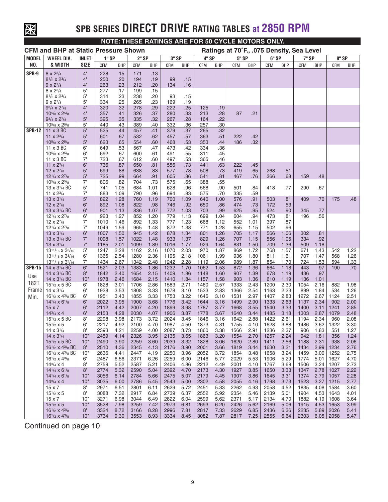

# **SPB SERIES DIRECT DRIVE RATING TABLES at 2850 RPM**

**NOTE: THESE RATINGS ARE FOR 50 CYCLE MOTORS ONLY.**

|               | <b>CFM and BHP at Static Pressure Shown</b>                                        |              |              |              |              |              |              |              |              |              |              |              | Ratings at 70°F., .075 Density, Sea Level |              |              |              |               |              |
|---------------|------------------------------------------------------------------------------------|--------------|--------------|--------------|--------------|--------------|--------------|--------------|--------------|--------------|--------------|--------------|-------------------------------------------|--------------|--------------|--------------|---------------|--------------|
| <b>MODEL</b>  | <b>WHEEL DIA.</b>                                                                  | <b>INLET</b> | 1" SP        |              | 2" SP        |              | 3" SP        |              | 4" SP        |              | <b>5" SP</b> |              | 6" SP                                     |              | <b>7" SP</b> |              | 8" SP         |              |
| NO.           | & WIDTH                                                                            | <b>SIZE</b>  | <b>CFM</b>   | <b>BHP</b>   | CFM          | <b>BHP</b>   | CFM          | <b>BHP</b>   | <b>CFM</b>   | <b>BHP</b>   | CFM          | <b>BHP</b>   | <b>CFM</b>                                | <b>BHP</b>   | CFM          | <b>BHP</b>   | <b>CFM</b>    | <b>BHP</b>   |
| SPB-9         | $8 \times 2^{3/4}$                                                                 | 4"           | 228          | .15          | 171          | .13          |              |              |              |              |              |              |                                           |              |              |              |               |              |
|               | $8^{1/2} \times 2^{3/4}$                                                           | 4"           | 250          | .20          | 194          | .19          | 99           | .15          |              |              |              |              |                                           |              |              |              |               |              |
|               | $9 \times 2^{7}/8$                                                                 | 4"           | 263          | .23          | 212          | .20          | 134          | .16          |              |              |              |              |                                           |              |              |              |               |              |
|               | $8 \times 2\frac{3}{4}$                                                            | 5"           | 277          | .17          | 199          | .15          |              |              |              |              |              |              |                                           |              |              |              |               |              |
|               | $8^{1/2} \times 2^{3/4}$<br>$9 \times 2^{7}/8$                                     | 5"<br>5"     | 314<br>334   | .23<br>.25   | 238<br>265   | .20<br>.23   | 93<br>169    | .15<br>.19   |              |              |              |              |                                           |              |              |              |               |              |
|               | $9^{3}/_4$ x $2^{7}/_8$                                                            | 4"           | 320          | .32          | 278          | .29          | 222          | .25          | 125          | .19          |              |              |                                           |              |              |              |               |              |
|               | $10^{5}/8$ x $2^{5}/8$                                                             | 4"           | 357          | .41          | 326          | .37          | 280          | .33          | 213          | .28          | 87           | .21          |                                           |              |              |              |               |              |
|               | $9^{3}/_4$ x $2^{7}/_8$                                                            | 5"           | 395          | .35          | 335          | .32          | 267          | .28          | 164          | .22          |              |              |                                           |              |              |              |               |              |
|               | $10^{5}/8$ x $2^{5}/8$                                                             | 5"           | 440          | .43          | 389          | .40          | 332          | .36          | 257          | .30          |              |              |                                           |              |              |              |               |              |
| <b>SPB-12</b> | $11 \times 3 BC$                                                                   | 5"           | 525          | .44          | 457          | .41          | 379          | .37          | 265          | .32          |              |              |                                           |              |              |              |               |              |
|               | 11 x $2^{3/4}$<br>$10^{5}/8$ x $2^{5}/8$                                           | 5"<br>5"     | 601<br>623   | .67<br>.65   | 532<br>554   | .62<br>.60   | 457<br>468   | .57<br>.53   | 363<br>353   | .51<br>.44   | 222<br>186   | .42<br>.32   |                                           |              |              |              |               |              |
|               | 11 x 3 BC                                                                          | 6"           | 649          | .53          | 567          | .47          | 473          | .42          | 334          | .36          |              |              |                                           |              |              |              |               |              |
|               | $10^{5}/8$ x $2^{5}/8$                                                             | 6"           | 692          | .67          | 600          | .61          | 491          | .55          | 311          | .45          |              |              |                                           |              |              |              |               |              |
|               | 11 x 3 BC                                                                          | 7"           | 723          | .67          | 612          | .60          | 497          | .53          | 365          | .46          |              |              |                                           |              |              |              |               |              |
|               | 11 x $2^{3/4}$                                                                     | 6"           | 736          | .87          | 650          | .81          | 556          | .73          | 441          | .63          | 222          | .45          |                                           |              |              |              |               |              |
|               | 12 x 27/8                                                                          | 5"           | 699          | .88          | 638          | .83          | 577          | .78          | 508          | .73          | 419          | .65          | 268                                       | .51          |              |              |               |              |
|               | $12^{1/4} \times 2^{7/8}$                                                          | 5"<br>7"     | 725          | .99          | 664          | .91          | 605          | .86          | 541          | .81          | 467          | .76          | 366                                       | .68          | 159          | .48          |               |              |
|               | $10^{5}/8$ x $2^{5}/8$<br>13 x 3 <sup>1</sup> / <sub>4</sub> BC                    | 5"           | 806<br>741   | .82<br>1.05  | 704<br>684   | .73<br>1.01  | 575<br>628   | .65<br>.96   | 388<br>568   | .55<br>.90   | 501          | .84          | 418                                       | .77          | 290          | .67          |               |              |
|               | 11 x 2 <sup>3</sup> / <sub>4</sub>                                                 | 7"           | 883          | 1.09         | 790          | .96          | 694          | .83          | 575          | .70          | 335          | .59          |                                           |              |              |              |               |              |
|               | $13 \times 3^{1/4}$                                                                | 5"           | 822          | 1.28         | 760          | 1.19         | 700          | 1.09         | 640          | 1.00         | 576          | .91          | 503                                       | .81          | 409          | .70          | 175           | .48          |
|               | $12 \times 2^{7}/8$                                                                | 6"           | 892          | 1.08         | 822          | .98          | 746          | .92          | 650          | .86          | 474          | .73          | 172                                       | .53          |              |              |               |              |
|               | 13 x 3 <sup>1</sup> / <sub>4</sub> BC                                              | 6"           | 901          | 1.13         | 836          | 1.07         | 772          | 1.03         | 703          | .99          | 625          | .95          | 524                                       | .90          | 345          | .77          |               |              |
|               | $12^{1/4} \times 2^{7/8}$                                                          | 6"           | 923          | 1.27         | 852          | 1.20         | 779          | 1.13         | 699          | 1.04         | 604          | .94          | 473                                       | .81          | 196          | .56          |               |              |
|               | 12 x 27/8<br>$12^{1/4} \times 2^{7/8}$                                             | 7"<br>7"     | 1010<br>1049 | 1.46<br>1.59 | 892<br>965   | 1.33<br>1.48 | 777<br>872   | 1.23<br>1.38 | 668<br>771   | 1.12<br>1.28 | 552<br>655   | 1.01<br>1.15 | 397<br>502                                | .87<br>.96   |              |              |               |              |
|               | 13 x 3 <sup>1</sup> / <sub>4</sub>                                                 | 6"           | 1007         | 1.50         | 945          | 1.42         | 878          | 1.34         | 801          | 1.26         | 705          | 1.17         | 566                                       | 1.06         | 302          | .81          |               |              |
|               | 13 x 3 <sup>1</sup> / <sub>4</sub> BC                                              | 7"           | 1098         | 1.57         | 1022         | 1.48         | 933          | 1.37         | 829          | 1.26         | 707          | 1.15         | 556                                       | 1.05         | 334          | .92          |               |              |
|               | $13 \times 3^{1/4}$                                                                | 7"           | 1185         | 2.01         | 1099         | 1.89         | 1016         | 1.77         | 929          | 1.64         | 831          | 1.50         | 709                                       | 1.36         | 509          | 1.18         |               |              |
|               | $13^{11}/_{16}$ x $3^{3}/_{16}$                                                    | 5"           | 1247         | 2.28         | 1162         | 2.16         | 1070         | 2.03         | 970          | 1.87         | 869          | 1.72         | 768                                       | 1.57         | 671          | 1.43         | 542           | 1.22         |
|               | $13^{11}/_{16}$ x $3^{3}/_{16}$                                                    | 6"           | 1365         | 2.54         | 1280         | 2.36         | 1195         | 2.18         | 1061         | 1.99         | 936          | 1.80         | 811                                       | 1.61         | 707          | 1.47         | 568           | 1.26         |
| <b>SPB-15</b> | 13 <sup>11</sup> /16 x 3 <sup>3</sup> /16<br>14 x 3 <sup>1</sup> / <sub>4</sub> BC | 7"<br>6"     | 1434<br>1521 | 2.67<br>2.03 | 1342<br>1383 | 2.48<br>1.86 | 1242<br>1232 | 2.28<br>1.70 | 1119<br>1062 | 2.06<br>1.53 | 989<br>872   | 1.87<br>1.36 | 854<br>664                                | 1.70<br>1.18 | 724<br>443   | 1.53<br>.97  | 594<br>190    | 1.33<br>.70  |
|               | 14 x 3 <sup>1</sup> / <sub>4</sub> BC                                              | 8"           | 1842         | 2.40         | 1654         | 2.15         | 1409         | 1.86         | 1148         | 1.60         | 907          | 1.39         | 678                                       | 1.19         | 436          | .97          |               |              |
| Use           | 14 x 3 <sup>1</sup> / <sub>4</sub> BC                                              | 10"          | 1978         | 2.46         | 1684         | 2.15         | 1410         | 1.84         | 1157         | 1.58         | 903          | 1.36         | 610                                       | 1.19         | 136          | 1.01         |               |              |
| <b>182T</b>   | $15^{1/2}$ x 5 BC                                                                  | 6"           | 1828         | 3.01         | 1706         | 2.86         | 1583         | 2.71         | 1460         | 2.57         | 1333         | 2.43         | 1200                                      | 2.30         | 1054         | 2.16         | 882           | 1.98         |
| Frame         | $14 \times 3^{1/4}$                                                                | 6"           | 1928         | 3.53         | 1808         | 3.33         | 1678         | 3.10         | 1533         | 2.83         | 1366         | 2.54         | 1163                                      | 2.23         | 899          | 1.84         | 534           | 1.26         |
| Min.          | $16^{1/2}$ x 4 <sup>3</sup> / <sub>8</sub> BC                                      | 6"           | 1951         | 3.43         | 1855         | 3.33         | 1753         | 3.22         | 1646         | 3.10         | 1531         | 2.97         | 1407                                      | 2.83         | 1272         | 2.67         | 1124          | 2.51         |
|               | $14^{1/4} \times 6^{1/8}$<br>$15 \times 7$                                         | 6"<br>6"     | 2022<br>2112 | 3.95<br>4.42 | 1900<br>2007 | 3.68<br>4.20 | 1776<br>1899 | 3.42<br>3.98 | 1644<br>1787 | 3.16<br>3.77 | 1499<br>1668 | 2.90<br>3.55 | 1333<br>1540                              | 2.63<br>3.33 | 1137<br>1400 | 2.34<br>3.11 | 902<br>1241   | 2.00<br>2.85 |
|               | $14^{3}/_{4} \times 4$                                                             | 6"           | 2153         | 4.28         | 2030         | 4.07         | 1906         | 3.87         | 1778         | 3.67         | 1640         | 3.44         | 1485                                      | 3.18         | 1303         | 2.87         | 1079          | 2.48         |
|               | $15^{1/2}$ x 5 BC                                                                  | 8"           | 2298         | 3.98         | 2173         | 3.72         | 2024         | 3.45         | 1846         | 3.16         | 1642         | 2.88         | 1422                                      | 2.61         | 1194         | 2.34         | 960           | 2.08         |
|               | $15^{1/2}$ x 5                                                                     | 6"           | 2217         | 4.92         | 2100         | 4.70         | 1987         | 4.50         | 1873         | 4.31         | 1755         | 4.10         | 1628                                      | 3.88         | 1486         | 3.62         | 1322          | 3.30         |
|               | 14 x 3 <sup>1</sup> / <sub>4</sub>                                                 | 8"           | 2393         | 4.21         | 2259         | 4.00         | 2087         | 3.73         | 1860         | 3.38         | 1566         | 2.91         | 1236                                      | 2.37         | 906          | 1.83         | 551           | 1.27         |
|               | $14 \times 3^{1/4}$                                                                | 10"          | 2459         | 4.14         | 2326         | 3.95         | 2135         | 3.65         | 1863         | 3.20         | 1554         | 2.70         | 1257                                      | 2.24         | 942          | 1.81         | 356           | 1.24         |
|               | $15^{1/2}$ x 5 BC                                                                  | 10"<br>8"    | 2490         | 3.90         | 2259         | 3.60         | 2039         | 3.32         | 1828         | 3.06         | 1620         | 2.80         | 1411                                      | 2.56         | 1188         | 2.31<br>2.99 | 938           | 2.06         |
|               | $16^{1/2}$ x 4 <sup>3</sup> / <sub>8</sub> BC<br>$16^{1/2}$ x $4^{3/8}$ BC         | 10"          | 2510<br>2636 | 4.36<br>4.41 | 2345<br>2447 | 4.13<br>4.19 | 2176<br>2250 | 3.90<br>3.96 | 2001<br>2052 | 3.66<br>3.72 | 1819<br>1854 | 3.44<br>3.48 | 1630<br>1658                              | 3.21<br>3.24 | 1434<br>1459 | 3.00         | 1234<br>1252  | 2.76<br>2.75 |
|               | $16^{1/2} \times 4^{3/8}$                                                          | 6"           | 2487         | 6.56         | 2371         | 6.26         | 2259         | 6.00         | 2146         | 5.77         | 2029         | 5.53         | 1906                                      | 5.29         | 1774         | 5.01         | 1627          | 4.70         |
|               | $14^{3}/_{4} \times 4$                                                             | 8"           | 2759         | 5.52         | 2587         | 5.21         | 2406         | 4.86         | 2212         | 4.49         | 2001         | 4.10         | 1767                                      | 3.69         | 1506         | 3.24         | 1207          | 2.73         |
|               | $14^{1/4} \times 6^{1/8}$                                                          | 8"           | 2774         | 5.32         | 2590         | 5.04         | 2392         | 4.70         | 2173         | 4.30         | 1927         | 3.85         | 1650                                      | 3.33         | 1347         | 2.78         | 1027          | 2.22         |
|               | $14^{1/4} \times 6^{1/8}$                                                          | 10"          | 3056         | 6.14         | 2784         | 5.66         | 2475         | 5.07         | 2179         | 4.45         | 1907         | 3.86         | 1645                                      | 3.31         | 1374         | 2.79         | 1057          | 2.28         |
|               | $14^{3}/_{4} \times 4$                                                             | 10"          | 3035         | 6.00         | 2786         | 5.45         | 2543         | 5.00         | 2302         | 4.58         | 2055         | 4.16         | 1798                                      | 3.73         | 1523         | 3.27         | 1215          | 2.77         |
|               | $15 \times 7$                                                                      | 8"           | 2971         | 6.51         | 2801         | 6.11         | 2629         | 5.72         | 2451         | 5.33         | 2262         | 4.93         | 2058                                      | 4.52         | 1835         | 4.08         | 1584          | 3.60         |
|               | $15^{1/2} \times 5$<br>$15 \times 7$                                               | 8"<br>10"    | 3088<br>3271 | 7.32<br>6.98 | 2917<br>3044 | 6.84<br>6.49 | 2739<br>2822 | 6.37<br>6.04 | 2552<br>2599 | 5.92<br>5.62 | 2354<br>2371 | 5.46<br>5.17 | 2139<br>2134                              | 5.01<br>4.70 | 1904<br>1882 | 4.53<br>4.19 | 1643<br>1608  | 4.01<br>3.64 |
|               | $15^{1/2} \times 5$                                                                | 10"          | 3528         | 7.98         | 3259         | 7.42         | 2973         | 6.81         | 2693         | 6.20         | 2426         | 5.62         | 2169                                      | 5.06         | 1915         | 4.53         | 1653          | 3.99         |
|               | $16^{1/2}$ x 4 <sup>3</sup> / <sub>8</sub>                                         | $8"$         | 3324         | 8.72         | 3166         | 8.28         | 2996         | 7.81         | 2817         | 7.33         | 2629         | 6.85         | 2436                                      | 6.36         | 2235         | 5.89         | 2026          | 5.41         |
|               | $16^{1/2}$ x 4 <sup>3</sup> / <sub>8</sub>                                         | 10"          | 3734         | 9.30         | 3553         | 8.93         | 3334         | 8.45         | 3082         | 7.87         | 2817         | 7.25         | 2555                                      | 6.64         | 2303         |              | $6.05$   2058 | 5.47         |

Continued on page 10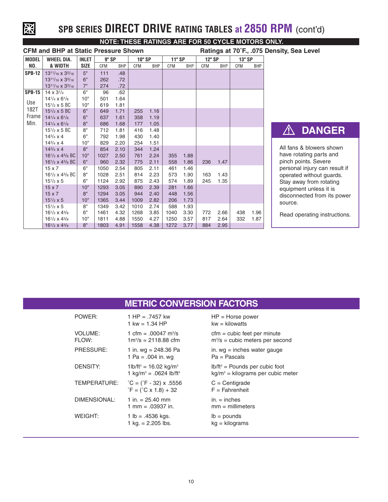

# **SPB SERIES DIRECT DRIVE RATING TABLES at 2850 RPM** (cont'd)

|               | <b>CFM and BHP at Static Pressure Shown</b>   |             |            |            |        |            |               |            |        |            |        |            | Ratings at 70°F., .075 Density, Sea Level |
|---------------|-----------------------------------------------|-------------|------------|------------|--------|------------|---------------|------------|--------|------------|--------|------------|-------------------------------------------|
| <b>MODEL</b>  | <b>WHEEL DIA.</b>                             | INLET       | 9" SP      |            | 10" SP |            | <b>11" SP</b> |            | 12" SP |            | 13" SP |            |                                           |
| NO.           | & WIDTH                                       | <b>SIZE</b> | <b>CFM</b> | <b>BHP</b> | CFM    | <b>BHP</b> | CFM           | <b>BHP</b> | CFM    | <b>BHP</b> | CFM    | <b>BHP</b> |                                           |
| <b>SPB-12</b> | $13^{11}/_{16}$ x $3^{3}/_{16}$               | 5"          | 111        | .48        |        |            |               |            |        |            |        |            |                                           |
|               | $13^{11}/_{16}$ x $3^{3}/_{16}$               | 6"          | 262        | .72        |        |            |               |            |        |            |        |            |                                           |
|               | 1311/16 x 33/16                               | 7"          | 274        | .72        |        |            |               |            |        |            |        |            |                                           |
| <b>SPB-15</b> | $14 \times 3^{1/4}$                           | 6"          | 96         | .62        |        |            |               |            |        |            |        |            |                                           |
|               | $14^{1/4} \times 6^{1/8}$                     | 10"         | 501        | 1.64       |        |            |               |            |        |            |        |            |                                           |
| Use           | $15^{1/2} \times 5$ BC                        | 10"         | 619        | 1.81       |        |            |               |            |        |            |        |            |                                           |
| 182T          | $15^{1/2} \times 5$ BC                        | 6"          | 649        | 1.71       | 255    | 1.16       |               |            |        |            |        |            |                                           |
| Frame         | $14^{1/4} \times 6^{1/8}$                     | 6"          | 637        | 1.61       | 358    | 1.19       |               |            |        |            |        |            |                                           |
| Min.          | $14^{1/4} \times 6^{1/8}$                     | 8"          | 686        | 1.68       | 177    | 1.05       |               |            |        |            |        |            |                                           |
|               | $15^{1/2}$ x 5 BC                             | 8"          | 712        | 1.81       | 416    | 1.48       |               |            |        |            |        |            | <b>DAN</b>                                |
|               | $14^{3}/_{4} \times 4$                        | 6"          | 792        | 1.98       | 430    | 1.40       |               |            |        |            |        |            |                                           |
|               | $14^{3}/_{4} \times 4$                        | 10"         | 829        | 2.20       | 254    | 1.51       |               |            |        |            |        |            |                                           |
|               | $14^{3}/_{4} \times 4$                        | 8"          | 854        | 2.10       | 344    | 1.24       |               |            |        |            |        |            | All fans & blowe                          |
|               | $16^{1/2}$ x 4 <sup>3</sup> / <sub>8</sub> BC | 10"         | 1027       | 2.50       | 761    | 2.24       | 355           | 1.88       |        |            |        |            | have rotating pa                          |
|               | $16^{1/2}$ x 4 <sup>3</sup> / <sub>8</sub> BC | 6"          | 960        | 2.32       | 775    | 2.11       | 558           | 1.86       | 236    | 1.47       |        |            | pinch points. Se                          |
|               | $15 \times 7$                                 | 6"          | 1050       | 2.54       | 805    | 2.11       | 461           | 1.46       |        |            |        |            | personal injury o                         |
|               | $16^{1/2} \times 4^{3/8}$ BC                  | 8"          | 1028       | 2.51       | 814    | 2.23       | 573           | 1.90       | 163    | 1.43       |        |            | operated withou                           |
|               | $15^{1/2} \times 5$                           | 6"          | 1124       | 2.92       | 875    | 2.43       | 574           | 1.89       | 245    | 1.35       |        |            | Stay away from                            |
|               | $15 \times 7$                                 | 10"         | 1293       | 3.05       | 890    | 2.39       | 281           | 1.66       |        |            |        |            | equipment unles                           |
|               | $15 \times 7$                                 | 8"          | 1294       | 3.05       | 944    | 2.40       | 448           | 1.56       |        |            |        |            | disconnected fro                          |
|               | $15^{1/2} \times 5$                           | 10"         | 1365       | 3.44       | 1009   | 2.82       | 206           | 1.73       |        |            |        |            | source.                                   |
|               | $15^{1/2} \times 5$                           | 8"          | 1349       | 3.42       | 1010   | 2.74       | 588           | 1.93       |        |            |        |            |                                           |
|               | $16^{1/2} \times 4^{3/8}$                     | 6"          | 1461       | 4.32       | 1268   | 3.85       | 1040          | 3.30       | 772    | 2.66       | 438    | 1.96       | Read operating                            |
|               | $16^{1/2} \times 4^{3/8}$                     | 10"         | 1811       | 4.88       | 1550   | 4.27       | 1250          | 3.57       | 817    | 2.64       | 332    | 1.87       |                                           |
|               | $16^{1/2}$ x 4 $^{3/8}$                       | 8"          | 1803       | 4.91       | 1558   | 4.38       | 1272          | 3.77       | 884    | 2.95       |        |            |                                           |

# **NOTE: THESE RATINGS ARE FOR 50 CYCLE MOTORS ONLY.**

### $\overline{\mathbb{A}}$ **DANGER**

All fans & blowers shown have rotating parts and pinch points. Severe personal injury can result if operated without guards. Stay away from rotating equipment unless it is disconnected from its power source.

Read operating instructions.

# **METRIC CONVERSION FACTORS**

| POWER:                  | 1 HP = $.7457$ kw<br>1 kw = 1.34 HP                                                        | $HP = Horse power$<br>$kw =$ kilowatts                                  |
|-------------------------|--------------------------------------------------------------------------------------------|-------------------------------------------------------------------------|
| <b>VOLUME:</b><br>FLOW: | 1 cfm = $.00047$ m <sup>3</sup> /s<br>$1 \text{m}^3/\text{s} = 2118.88 \text{ cfm}$        | $cfm = cubic feet per minute$<br>$m^3/s =$ cubic meters per second      |
| PRESSURE:               | 1 in. $wg = 248.36$ Pa<br>1 Pa = $.004$ in. wg                                             | in. $wg =$ inches water gauge<br>$Pa = Pascal$ s                        |
| <b>DENSITY:</b>         | $1\text{lb/ft}^3 = 16.02 \text{ kg/m}^3$<br>1 kg/m <sup>3</sup> = .0624 lb/ft <sup>3</sup> | $lb/ft3 =$ Pounds per cubic foot<br>$kg/m3$ = kilograms per cubic meter |
| TEMPERATURE:            | $^{\circ}$ C = ( $^{\circ}$ F - 32) x .5556<br>$E = (C \times 1.8) + 32$                   | $C =$ Centigrade<br>$F =$ Fahrenheit                                    |
| DIMENSIONAL:            | 1 in. $= 25.40$ mm<br>1 mm = $.03937$ in.                                                  | $in =$ inches<br>$mm = millimeters$                                     |
| WEIGHT:                 | 1 lb = $.4536$ kgs.<br>1 kg. $= 2.205$ lbs.                                                | $lb =$ pounds<br>$kg = kilograms$                                       |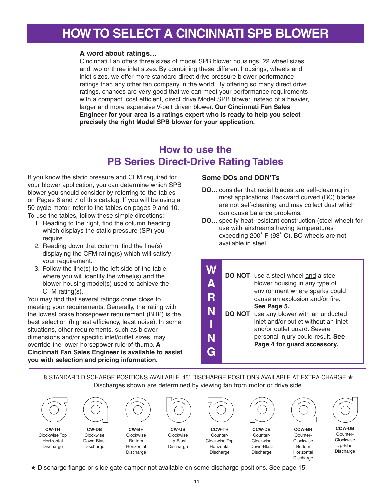# **HOWTO SELECT A CINCINNATI SPB BLOWER**

### **A word about ratings…**

Cincinnati Fan offers three sizes of model SPB blower housings, 22 wheel sizes and two or three inlet sizes. By combining these different housings, wheels and inlet sizes, we offer more standard direct drive pressure blower performance ratings than any other fan company in the world. By offering so many direct drive ratings, chances are very good that we can meet your performance requirements with a compact, cost efficient, direct drive Model SPB blower instead of a heavier, larger and more expensive V-belt driven blower. **Our Cincinnati Fan Sales Engineer for your area is a ratings expert who is ready to help you select precisely the right Model SPB blower for your application.**

# **How to use the PB Series Direct-Drive Rating Tables**

If you know the static pressure and CFM required for your blower application, you can determine which SPB blower you should consider by referring to the tables on Pages 6 and 7 of this catalog. If you will be using a 50 cycle motor, refer to the tables on pages 9 and 10. To use the tables, follow these simple directions:

- 1. Reading to the right, find the column heading which displays the static pressure (SP) you require.
- 2. Reading down that column, find the line(s) displaying the CFM rating(s) which will satisfy your requirement.
- 3. Follow the line(s) to the left side of the table, where you will identify the wheel(s) and the blower housing model(s) used to achieve the CFM rating(s).

You may find that several ratings come close to meeting your requirements. Generally, the rating with the lowest brake horsepower requirement (BHP) is the best selection (highest efficiency, least noise). In some situations, other requirements, such as blower dimensions and/or specific inlet/outlet sizes, may override the lower horsepower rule-of-thumb. **A Cincinnati Fan Sales Engineer is available to assist you with selection and pricing information.**

### **Some DOs and DON'Ts**

- **DO**… consider that radial blades are self-cleaning in most applications. Backward curved (BC) blades are not self-cleaning and may collect dust which can cause balance problems.
- **DO**… specify heat-resistant construction (steel wheel) for use with airstreams having temperatures exceeding 200˚ F (93˚ C). BC wheels are not available in steel.

|              | DO NOT use a steel wheel and a steel          |
|--------------|-----------------------------------------------|
| $\mathbf{A}$ | blower housing in any type of                 |
|              | environment where sparks could                |
| R            | cause an explosion and/or fire.               |
|              | See Page 5.                                   |
| N            | <b>DO NOT</b> use any blower with an unducted |
|              | inlet and/or outlet without an inlet          |
|              | and/or outlet guard. Severe                   |
|              | personal injury could result. See             |
|              | Page 4 for guard accessory.                   |
|              |                                               |
|              |                                               |

8 STANDARD DISCHARGE POSITIONS AVAILABLE. 45˚ DISCHARGE POSITIONS AVAILABLE AT EXTRA CHARGE.**★** Discharges shown are determined by viewing fan from motor or drive side.



**★** Discharge flange or slide gate damper not available on some discharge positions. See page 15.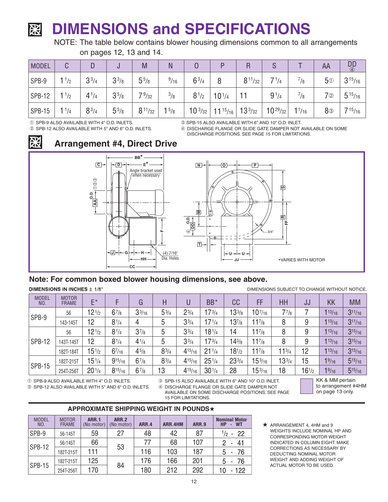# **DIMENSIONS and SPECIFICATIONS** 贸

NOTE: The table below contains blower housing dimensions common to all arrangements on pages 12, 13 and 14.

| <b>MODEL</b> | ◠<br>U            | D         |           | M              | N              |             |                 | R              |              |             | AA             | $\frac{DD}{4}$ |
|--------------|-------------------|-----------|-----------|----------------|----------------|-------------|-----------------|----------------|--------------|-------------|----------------|----------------|
| SPB-9        | 1 <sup>1</sup> /2 | $3^{3}/4$ | $3^{3}/8$ | $5^{5}/s$      | $^{9}/_{16}$   | $6^{3}/4$   | 8               | $8^{11}/_{32}$ | 71/4         | $^{7}/_{8}$ | 5 <sup>①</sup> | $3^{15}/_{16}$ |
| SPB-12       | 11/2              | $4^{1/4}$ | $3^{5/8}$ | 79/32          | $^{3}/_{8}$    | $8^{1/2}$   | $10^{1/4}$      |                | $9^{1/4}$    | /8          | $7$ ②          | $5^{15}/_{16}$ |
| $ $ SPB-15   | $1^{1/4}$         | $8^{3}/4$ | $5^{5}/8$ | $8^{11}/_{32}$ | $1\frac{5}{8}$ | $10^{3/32}$ | $11^{15}/_{16}$ | $13^{3/32}$    | $10^{29}/32$ | $1^{1/16}$  | 8 <sup>③</sup> | $7^{15}/_{16}$ |

**➀** SPB-9 ALSO AVAILABLE WITH 4" O.D. INLETS. **➁** SPB-12 ALSO AVAILABLE WITH 5" AND 6" O.D. INLETS. **➂** SPB-15 ALSO AVAILABLE WITH 6" AND 10" O.D. INLET.

**➃** DISCHARGE FLANGE OR SLIDE GATE DAMPER NOT AVAILABLE ON SOME DISCHARGE POSITIONS. SEE PAGE 15 FOR LIMITATIONS.



**Arrangement #4, Direct Drive**



# **Note: For common boxed blower housing dimensions, see above.**

**DIMENSIONS IN INCHES ± 1/8"** 

DIMENSIONS SUBJECT TO CHANGE WITHOUT NOTICE.

| <b>MODEL</b><br>NO. | <b>MOTOR</b><br><b>FRAME</b> | E*                             |             |            | н         |                | BB*                | cc         | FF          | HH          | JJ         | KK          | <b>MM</b>   |
|---------------------|------------------------------|--------------------------------|-------------|------------|-----------|----------------|--------------------|------------|-------------|-------------|------------|-------------|-------------|
|                     | 56                           | 12 <sup>1</sup> /2             | $6^{7}/8$   | $3^{3/16}$ | $5^{3/4}$ | $2^{3/4}$      | $17^{3/4}$         | $13^{3/8}$ | $10^{7/16}$ | $7^{7}_{8}$ |            | $1^{13/16}$ | $3^{11/16}$ |
| SPB-9               | 143-145T                     | 12                             | $8^{1/4}$   | 4          | 5         | $3^{3/4}$      | $17^{1/4}$         | $13^{7}/8$ | $11^{7}/8$  | 8           | 9          | $1^{13/16}$ | $3^{11/16}$ |
|                     | 56                           | 12 <sup>1</sup> /2             | $8^{1/4}$   | $3^{7/8}$  | 5         | $3^{3/4}$      | $18^{1/4}$         | 14         | $1^{7}/8$   | 8           | 9          | $1^{13/16}$ | $3^{15/16}$ |
| <b>SPB-12</b>       | 143T-145T                    | 12                             | $8^{1/4}$   | $4^{1/4}$  | 5         | $3^{3/4}$      | $17^{3/4}$         | $4^{3/8}$  | $11^{7/8}$  | 8           | 9          | $1^{13/16}$ | $3^{15/16}$ |
|                     | 182T-184T                    | $15^{1/2}$                     | $6^{7/16}$  | $4^{5/8}$  | $8^{3/4}$ | $4^{15}/_{16}$ | 21 <sup>1</sup> /4 | $18^{1/2}$ | $11^{7}/8$  | $1^{3/4}$   | 12         | $1^{13/16}$ | $3^{15/16}$ |
| <b>SPB-15</b>       | 182T-215T                    | $5^{1/4}$                      | $9^{15/16}$ | $6^{7}/8$  | $8^{3/4}$ | $4^{15}/_{16}$ | 25 <sup>1</sup> /4 | $23^{3/4}$ | $15^{3/16}$ | $3^{3/4}$   | 15         | 19/16       | $5^{15/16}$ |
|                     | 254T-256T                    | 20 <sup>1</sup> / <sub>4</sub> | $8^{15/16}$ | $6^{7}/8$  | 13        | $4^{15}/_{16}$ | $30^{1/4}$         | 28         | $15^{3/16}$ | 18          | $16^{1/2}$ | 19/16       | $5^{15/16}$ |

15 FOR LIMITATIONS.

**➀** SPB-9 ALSO AVAILABLE WITH 4" O.D. INLETS.

**➁** SPB-12 ALSO AVAILABLE WITH 5" AND 6" O.D. INLETS.

**➂** SPB-15 ALSO AVAILABLE WITH 6" AND 10" O.D. INLET. **➃** DISCHARGE FLANGE OR SLIDE GATE DAMPER NOT AVAILABLE ON SOME DISCHARGE POSITIONS. SEE PAGE KK & MM pertain to arrangement #4HM on page 13 only.

## **APPROXIMATE SHIPPING WEIGHT IN POUNDS★**

| <b>MODEL</b><br>NO. | <b>MOTOR</b><br><b>FRAME</b> | <b>ARR.1</b><br>(No motor) | <b>ARR.2</b><br>(No motor) | <b>ARR.4</b> | ARR.4HM | <b>ARR.9</b> | <b>Nominal Motor</b><br><b>HP</b><br>- WT |
|---------------------|------------------------------|----------------------------|----------------------------|--------------|---------|--------------|-------------------------------------------|
| SPB-9               | 56-145T                      | 59                         | 27                         | 48           | 42      | 87           | $\frac{1}{2}$ -<br>-22                    |
| <b>SPB-12</b>       | 56-145T                      | 66                         |                            | 77           | 68      | 107          | 41<br>۰                                   |
|                     | 182T-215T                    | 111                        | 53                         | 116          | 103     | 187          | -76<br>5.<br>$\blacksquare$               |
|                     | 182T-215T                    | 125                        |                            | 176          | 166     | 201          | -76<br>5<br>٠                             |
| <b>SPB-15</b>       | 254T-256T                    | 170                        | 84                         | 180          | 212     | 292          | $-122$                                    |

**★** ARRANGEMENT 4, 4HM and <sup>9</sup> WEIGHTS INCLUDE NOMINAL HP AND CORRESPONDING MOTOR WEIGHT INDICATED IN COLUMN EIGHT. MAKE CORRECTIONS AS NECESSARY BY DEDUCTING NOMINAL MOTOR WEIGHT AND ADDING WEIGHT OF ACTUAL MOTOR TO BE USED.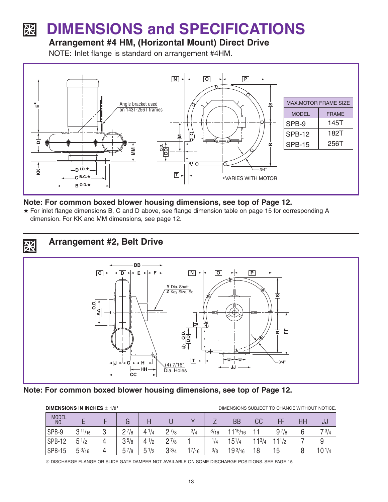### **DIMENSIONS and SPECIFICATIONS** 図

# **Arrangement #4 HM, (Horizontal Mount) Direct Drive**

NOTE: Inlet flange is standard on arrangement #4HM.



# **Note: For common boxed blower housing dimensions, see top of Page 12.**

**★** For inlet flange dimensions B, C and D above, see flange dimension table on page 15 for corresponding A dimension. For KK and MM dimensions, see page 12.



# **Note: For common boxed blower housing dimensions, see top of Page 12.**

| DIMENSIONS IN INCHES $\pm$ 1/8" |                 |  |           |           |                |            | DIMENSIONS SUBJECT TO CHANGE WITHOUT NOTICE. |                     |       |            |    |                    |
|---------------------------------|-----------------|--|-----------|-----------|----------------|------------|----------------------------------------------|---------------------|-------|------------|----|--------------------|
| <b>MODEL</b><br>NO.             |                 |  |           |           |                |            |                                              | BB                  | CC    | FF         | HH | JJ                 |
| SPB-9                           | 311/16          |  | $2^{7/8}$ | $4^{1/4}$ | $2\frac{7}{8}$ | 3/4        | 3/16                                         | $1^{15/16}$         |       | 97/8       | 6  | 73/4               |
| <b>SPB-12</b>                   | $5^{1/2}$       |  | 35/8      | 1/2<br>4  | $2^{7/8}$      |            | 1/4                                          | $15^{1/4}$          | 113/4 | $11^{1/2}$ |    |                    |
| <b>SPB-15</b>                   | $5\frac{3}{16}$ |  | 5<br>'/8  | 51/2      | $3^{3/4}$      | $^{17/16}$ | 3/8                                          | 19 <sup>3</sup> /16 | 18    | 15         |    | 10 <sup>1</sup> /4 |

**➃** DISCHARGE FLANGE OR SLIDE GATE DAMPER NOT AVAILABLE ON SOME DISCHARGE POSITIONS. SEE PAGE 15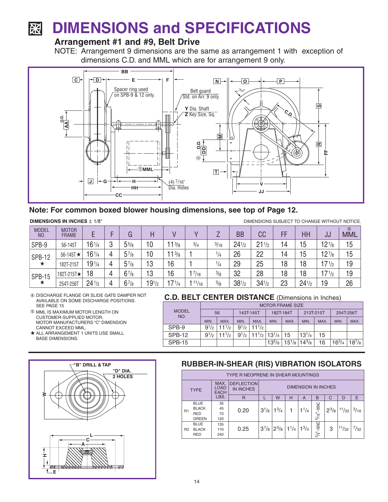### **DIMENSIONS and SPECIFICATIONS** 贸

# **Arrangement #1 and #9, Belt Drive**

NOTE: Arrangement 9 dimensions are the same as arrangement 1 with exception of dimensions C.D. and MML which are for arrangement 9 only.



## **Note: For common boxed blower housing dimensions, see top of Page 12.**

**DIMENSIONS IN INCHES ± 1/8"** 

DIMENSIONS SUBJECT TO CHANGE WITHOUT NOTICE.

| <b>MODEL</b><br>NO. | <b>MOTOR</b><br><b>FRAME</b> |                    |   | G         | Η          |            |          |               | <b>BB</b>  | СC         | FF | HH         | บบ                 | $\circledS$<br><b>MML</b> |
|---------------------|------------------------------|--------------------|---|-----------|------------|------------|----------|---------------|------------|------------|----|------------|--------------------|---------------------------|
| SPB-9               | 56-145T                      | $16^{1/4}$         | 3 | $5^{5/8}$ | 10         | 13/8       | 3/4      | 3/16          | $24^{1/2}$ | $21^{1/2}$ | 14 | 15         | $12^{7/8}$         | 15                        |
| <b>SPB-12</b>       | 56-145T $\star$              | $16^{1/4}$         | 4 | $5^{7}/8$ | 10         | $11^{3/8}$ |          | 1/4           | 26         | 22         | 14 | 15         | $12^{7/8}$         | 15                        |
| ★                   | 182T-215T                    | $19^{1/4}$         | 4 | $5^{7}/8$ | 13         | 16         |          | 1/4           | 29         | 25         | 18 | 18         | 17 <sup>1</sup> /2 | 19                        |
| <b>SPB-15</b>       | 182T-215T★                   | 18                 | 4 | $6^{7}/8$ | 13         | 16         | 1 $7/16$ | $\frac{3}{8}$ | 32         | 28         | 18 | 18         | 17 <sup>1</sup> /2 | 19                        |
| ★                   | 254T-256T                    | 24 <sup>1</sup> /2 | 4 | $6^{7}/8$ | $19^{1/2}$ | 71/4       | 11/16    | 3/8           | $38^{1/2}$ | $34^{1/2}$ | 23 | $24^{1/2}$ | 19                 | 26                        |

### DISCHARGE FLANGE OR SLIDE GATE DAMPER NOT AVAILABLE ON SOME DISCHARGE POSITIONS. SEE PAGE 15

- **5 MML IS MAXIMUM MOTOR LENGTH ON** CUSTOMER-SUPPLIED MOTOR. MOTOR MANUFACTURERS "C" DIMENSION CANNOT EXCEED MML.
- \* ALL ARRANGEMENT 1 UNITS USE SMALL BASE DIMENSIONS.



# **C.D. BELT CENTER DISTANCE** (Dimensions in Inches)

|                     | <b>MOTOR FRAME SIZE</b> |            |           |                                                                         |            |                           |            |      |            |            |  |  |  |
|---------------------|-------------------------|------------|-----------|-------------------------------------------------------------------------|------------|---------------------------|------------|------|------------|------------|--|--|--|
| <b>MODEL</b><br>NO. | 56                      |            | 143T-145T |                                                                         | 182T-184T  |                           | 213T-215T  |      | 254T-256T  |            |  |  |  |
|                     | MIN.                    | MAX.       | MIN.      | MAX.                                                                    | <b>MIN</b> | MAX.                      | MIN.       | MAX. | MIN.       | MAX.       |  |  |  |
| SPB-9               | $9^{1/2}$               | $11^{1/2}$ | $9^{1/2}$ | $11^{1/2}$                                                              |            |                           |            |      |            |            |  |  |  |
| <b>SPB-12</b>       | $9^{1/2}$               | $11^{1/2}$ |           | $9^{1/2}$ 11 <sup>1</sup> / <sub>2</sub> 13 <sup>1</sup> / <sub>4</sub> |            | 15                        | $13^{1/4}$ | 15   |            |            |  |  |  |
| <b>SPB-15</b>       |                         |            |           |                                                                         | $13^{5}/8$ | $15^{1}/_8$   $14^{3}/_8$ |            | 16   | $16^{3}/4$ | $18^{7}/8$ |  |  |  |

## **RUBBER-IN-SHEAR (RIS) VIBRATION ISOLATORS**

|             | TYPE R NEOPRENE IN SHEAR MOUNTINGS                        |                                    |                                       |                            |                                                     |   |           |                   |           |            |                |  |  |
|-------------|-----------------------------------------------------------|------------------------------------|---------------------------------------|----------------------------|-----------------------------------------------------|---|-----------|-------------------|-----------|------------|----------------|--|--|
| <b>TYPE</b> |                                                           | MAX.<br><b>LOAD</b><br><b>EACH</b> | <b>DEFLECTION</b><br><b>IN INCHES</b> | <b>DIMENSION IN INCHES</b> |                                                     |   |           |                   |           |            |                |  |  |
|             |                                                           | LBS.                               | R                                     |                            | W                                                   | н | A         | B                 | $\Omega$  | D          | E              |  |  |
| R1          | <b>BLUE</b><br><b>BLACK</b><br><b>RED</b><br><b>GREEN</b> | 35<br>45<br>70<br>120              | 0.20                                  | $3^{1/8}$                  | $1^{3}/4$                                           |   | $1^{1}/4$ | -18NC<br>$5/16$ . | $2^{3}/8$ | $111/32 +$ | $\frac{3}{16}$ |  |  |
| <b>R2</b>   | <b>BLUE</b><br><b>BLACK</b><br><b>RED</b>                 | 135<br>170<br>240                  | 0.25                                  |                            | $3^{7}/_8$ $2^{3}/_8$ 1 <sup>1</sup> / <sub>4</sub> |   | $1^{3}/4$ | $3/8" - 16NC$     | 3         | 11/32      | $^{7}/_{32}$   |  |  |